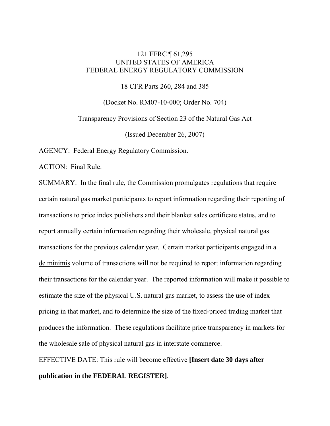# 121 FERC ¶ 61,295 UNITED STATES OF AMERICA FEDERAL ENERGY REGULATORY COMMISSION

18 CFR Parts 260, 284 and 385

(Docket No. RM07-10-000; Order No. 704)

Transparency Provisions of Section 23 of the Natural Gas Act

(Issued December 26, 2007)

AGENCY: Federal Energy Regulatory Commission.

ACTION: Final Rule.

SUMMARY: In the final rule, the Commission promulgates regulations that require certain natural gas market participants to report information regarding their reporting of transactions to price index publishers and their blanket sales certificate status, and to report annually certain information regarding their wholesale, physical natural gas transactions for the previous calendar year. Certain market participants engaged in a de minimis volume of transactions will not be required to report information regarding their transactions for the calendar year. The reported information will make it possible to estimate the size of the physical U.S. natural gas market, to assess the use of index pricing in that market, and to determine the size of the fixed-priced trading market that produces the information. These regulations facilitate price transparency in markets for the wholesale sale of physical natural gas in interstate commerce.

EFFECTIVE DATE: This rule will become effective **[Insert date 30 days after publication in the FEDERAL REGISTER]**.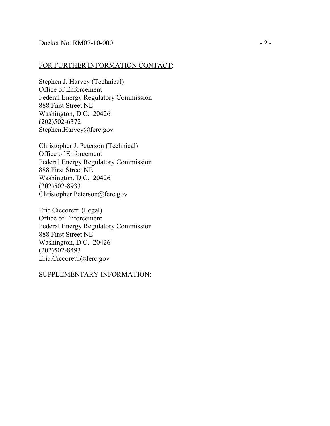### FOR FURTHER INFORMATION CONTACT:

Stephen J. Harvey (Technical) Office of Enforcement Federal Energy Regulatory Commission 888 First Street NE Washington, D.C. 20426 (202)502-6372 Stephen.Harvey@ferc.gov

Christopher J. Peterson (Technical) Office of Enforcement Federal Energy Regulatory Commission 888 First Street NE Washington, D.C. 20426 (202)502-8933 Christopher.Peterson@ferc.gov

Eric Ciccoretti (Legal) Office of Enforcement Federal Energy Regulatory Commission 888 First Street NE Washington, D.C. 20426 (202)502-8493 Eric.Ciccoretti@ferc.gov

SUPPLEMENTARY INFORMATION: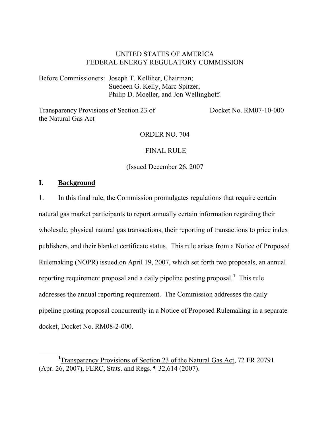# UNITED STATES OF AMERICA FEDERAL ENERGY REGULATORY COMMISSION

Before Commissioners: Joseph T. Kelliher, Chairman; Suedeen G. Kelly, Marc Spitzer, Philip D. Moeller, and Jon Wellinghoff.

Transparency Provisions of Section 23 of the Natural Gas Act

Docket No. RM07-10-000

ORDER NO. 704

FINAL RULE

(Issued December 26, 2007

## **I. Background**

1. In this final rule, the Commission promulgates regulations that require certain natural gas market participants to report annually certain information regarding their wholesale, physical natural gas transactions, their reporting of transactions to price index publishers, and their blanket certificate status. This rule arises from a Notice of Proposed Rulemaking (NOPR) issued on April 19, 2007, which set forth two proposals, an annual reporting requirement proposal and a daily pipeline posting proposal.**<sup>1</sup>** This rule addresses the annual reporting requirement. The Commission addresses the daily pipeline posting proposal concurrently in a Notice of Proposed Rulemaking in a separate docket, Docket No. RM08-2-000.

<sup>&</sup>lt;u>1</u> <sup>1</sup>Transparency Provisions of Section 23 of the Natural Gas Act, 72 FR 20791 (Apr. 26, 2007), FERC, Stats. and Regs. ¶ 32,614 (2007).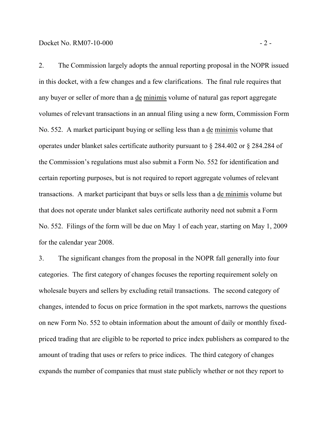2. The Commission largely adopts the annual reporting proposal in the NOPR issued in this docket, with a few changes and a few clarifications. The final rule requires that any buyer or seller of more than a de minimis volume of natural gas report aggregate volumes of relevant transactions in an annual filing using a new form, Commission Form No. 552. A market participant buying or selling less than a de minimis volume that operates under blanket sales certificate authority pursuant to § 284.402 or § 284.284 of the Commission's regulations must also submit a Form No. 552 for identification and certain reporting purposes, but is not required to report aggregate volumes of relevant transactions. A market participant that buys or sells less than a de minimis volume but that does not operate under blanket sales certificate authority need not submit a Form No. 552. Filings of the form will be due on May 1 of each year, starting on May 1, 2009 for the calendar year 2008.

3. The significant changes from the proposal in the NOPR fall generally into four categories. The first category of changes focuses the reporting requirement solely on wholesale buyers and sellers by excluding retail transactions. The second category of changes, intended to focus on price formation in the spot markets, narrows the questions on new Form No. 552 to obtain information about the amount of daily or monthly fixedpriced trading that are eligible to be reported to price index publishers as compared to the amount of trading that uses or refers to price indices. The third category of changes expands the number of companies that must state publicly whether or not they report to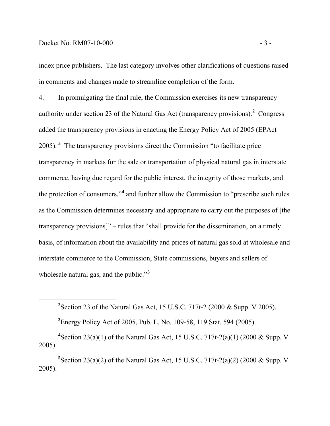## Docket No. RM07-10-000 - 3 -

index price publishers. The last category involves other clarifications of questions raised in comments and changes made to streamline completion of the form.

4. In promulgating the final rule, the Commission exercises its new transparency authority under section 23 of the Natural Gas Act (transparency provisions).<sup>2</sup> Congress added the transparency provisions in enacting the Energy Policy Act of 2005 (EPAct 2005). **<sup>3</sup>** The transparency provisions direct the Commission "to facilitate price transparency in markets for the sale or transportation of physical natural gas in interstate commerce, having due regard for the public interest, the integrity of those markets, and the protection of consumers,"**<sup>4</sup>** and further allow the Commission to "prescribe such rules as the Commission determines necessary and appropriate to carry out the purposes of [the transparency provisions]" – rules that "shall provide for the dissemination, on a timely basis, of information about the availability and prices of natural gas sold at wholesale and interstate commerce to the Commission, State commissions, buyers and sellers of wholesale natural gas, and the public."**<sup>5</sup>**

 **<sup>2</sup>** <sup>2</sup> Section 23 of the Natural Gas Act, 15 U.S.C. 717t-2 (2000 & Supp. V 2005).

**3** Energy Policy Act of 2005, Pub. L. No. 109-58, 119 Stat. 594 (2005).

**4** Section 23(a)(1) of the Natural Gas Act, 15 U.S.C. 717t-2(a)(1) (2000 & Supp. V 2005).

<sup>5</sup> Section 23(a)(2) of the Natural Gas Act, 15 U.S.C. 717t-2(a)(2) (2000 & Supp. V 2005).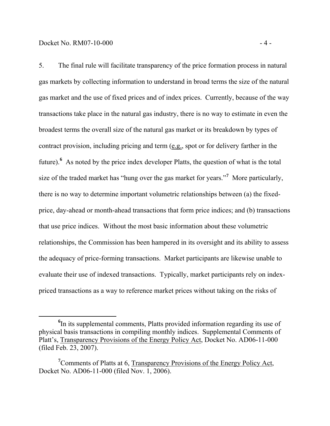5. The final rule will facilitate transparency of the price formation process in natural gas markets by collecting information to understand in broad terms the size of the natural gas market and the use of fixed prices and of index prices. Currently, because of the way transactions take place in the natural gas industry, there is no way to estimate in even the broadest terms the overall size of the natural gas market or its breakdown by types of contract provision, including pricing and term (e.g., spot or for delivery farther in the future).<sup>6</sup> As noted by the price index developer Platts, the question of what is the total size of the traded market has "hung over the gas market for years."**<sup>7</sup>** More particularly, there is no way to determine important volumetric relationships between (a) the fixedprice, day-ahead or month-ahead transactions that form price indices; and (b) transactions that use price indices. Without the most basic information about these volumetric relationships, the Commission has been hampered in its oversight and its ability to assess the adequacy of price-forming transactions. Market participants are likewise unable to evaluate their use of indexed transactions. Typically, market participants rely on indexpriced transactions as a way to reference market prices without taking on the risks of

**<sup>6</sup>** <sup>6</sup>In its supplemental comments, Platts provided information regarding its use of physical basis transactions in compiling monthly indices. Supplemental Comments of Platt's, Transparency Provisions of the Energy Policy Act, Docket No. AD06-11-000 (filed Feb. 23, 2007).

<sup>&</sup>lt;sup>7</sup> Comments of Platts at 6, Transparency Provisions of the Energy Policy Act, Docket No. AD06-11-000 (filed Nov. 1, 2006).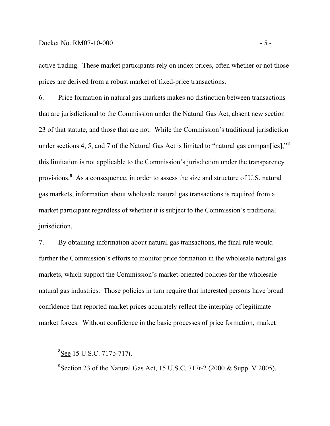### Docket No. RM07-10-000 - 5 -

active trading. These market participants rely on index prices, often whether or not those prices are derived from a robust market of fixed-price transactions.

6. Price formation in natural gas markets makes no distinction between transactions that are jurisdictional to the Commission under the Natural Gas Act, absent new section 23 of that statute, and those that are not. While the Commission's traditional jurisdiction under sections 4, 5, and 7 of the Natural Gas Act is limited to "natural gas compan[ies],"**<sup>8</sup>** this limitation is not applicable to the Commission's jurisdiction under the transparency provisions.**<sup>9</sup>** As a consequence, in order to assess the size and structure of U.S. natural gas markets, information about wholesale natural gas transactions is required from a market participant regardless of whether it is subject to the Commission's traditional jurisdiction.

7. By obtaining information about natural gas transactions, the final rule would further the Commission's efforts to monitor price formation in the wholesale natural gas markets, which support the Commission's market-oriented policies for the wholesale natural gas industries. Those policies in turn require that interested persons have broad confidence that reported market prices accurately reflect the interplay of legitimate market forces. Without confidence in the basic processes of price formation, market

<sup>9</sup> Section 23 of the Natural Gas Act, 15 U.S.C. 717t-2 (2000 & Supp. V 2005).

**<sup>8</sup>** See 15 U.S.C. 717b-717i.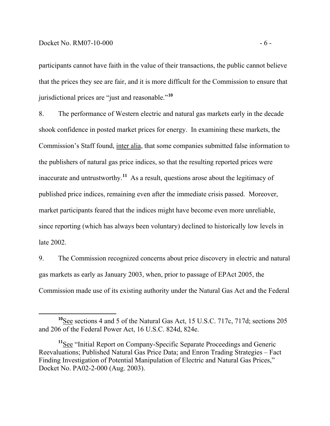participants cannot have faith in the value of their transactions, the public cannot believe that the prices they see are fair, and it is more difficult for the Commission to ensure that jurisdictional prices are "just and reasonable."**<sup>10</sup>**

8. The performance of Western electric and natural gas markets early in the decade shook confidence in posted market prices for energy. In examining these markets, the Commission's Staff found, inter alia, that some companies submitted false information to the publishers of natural gas price indices, so that the resulting reported prices were inaccurate and untrustworthy.**<sup>11</sup>** As a result, questions arose about the legitimacy of published price indices, remaining even after the immediate crisis passed. Moreover, market participants feared that the indices might have become even more unreliable, since reporting (which has always been voluntary) declined to historically low levels in late 2002.

9. The Commission recognized concerns about price discovery in electric and natural gas markets as early as January 2003, when, prior to passage of EPAct 2005, the Commission made use of its existing authority under the Natural Gas Act and the Federal

**<sup>10</sup>**See sections 4 and 5 of the Natural Gas Act, 15 U.S.C. 717c, 717d; sections 205 and 206 of the Federal Power Act, 16 U.S.C. 824d, 824e.

**<sup>11</sup>**See "Initial Report on Company-Specific Separate Proceedings and Generic Reevaluations; Published Natural Gas Price Data; and Enron Trading Strategies – Fact Finding Investigation of Potential Manipulation of Electric and Natural Gas Prices," Docket No. PA02-2-000 (Aug. 2003).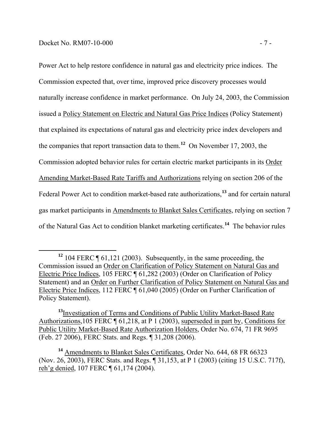Power Act to help restore confidence in natural gas and electricity price indices. The Commission expected that, over time, improved price discovery processes would naturally increase confidence in market performance. On July 24, 2003, the Commission issued a Policy Statement on Electric and Natural Gas Price Indices (Policy Statement) that explained its expectations of natural gas and electricity price index developers and the companies that report transaction data to them.**<sup>12</sup>** On November 17, 2003, the Commission adopted behavior rules for certain electric market participants in its Order Amending Market-Based Rate Tariffs and Authorizations relying on section 206 of the Federal Power Act to condition market-based rate authorizations,**<sup>13</sup>** and for certain natural gas market participants in Amendments to Blanket Sales Certificates, relying on section 7 of the Natural Gas Act to condition blanket marketing certificates.**<sup>14</sup>** The behavior rules

**<sup>12</sup>** 104 FERC ¶ 61,121 (2003). Subsequently, in the same proceeding, the Commission issued an Order on Clarification of Policy Statement on Natural Gas and Electric Price Indices, 105 FERC ¶ 61,282 (2003) (Order on Clarification of Policy Statement) and an Order on Further Clarification of Policy Statement on Natural Gas and Electric Price Indices, 112 FERC ¶ 61,040 (2005) (Order on Further Clarification of Policy Statement).

**<sup>13</sup>**Investigation of Terms and Conditions of Public Utility Market-Based Rate Authorizations,105 FERC ¶ 61,218, at P 1 (2003), superseded in part by, Conditions for Public Utility Market-Based Rate Authorization Holders, Order No. 674, 71 FR 9695 (Feb. 27 2006), FERC Stats. and Regs. ¶ 31,208 (2006).

**<sup>14</sup>** Amendments to Blanket Sales Certificates*,* Order No. 644, 68 FR 66323 (Nov. 26, 2003), FERC Stats. and Regs. ¶ 31,153, at P 1 (2003) (citing 15 U.S.C. 717f), reh'g denied, 107 FERC ¶ 61,174 (2004).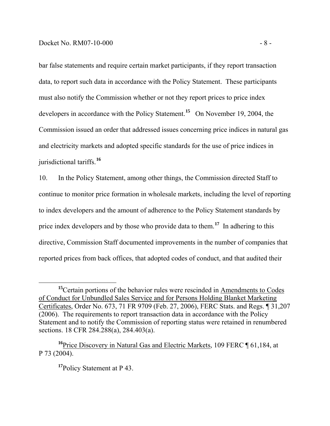bar false statements and require certain market participants, if they report transaction data, to report such data in accordance with the Policy Statement. These participants must also notify the Commission whether or not they report prices to price index developers in accordance with the Policy Statement.**<sup>15</sup>** On November 19, 2004, the Commission issued an order that addressed issues concerning price indices in natural gas and electricity markets and adopted specific standards for the use of price indices in jurisdictional tariffs.**<sup>16</sup>**

10. In the Policy Statement, among other things, the Commission directed Staff to continue to monitor price formation in wholesale markets, including the level of reporting to index developers and the amount of adherence to the Policy Statement standards by price index developers and by those who provide data to them.**<sup>17</sup>** In adhering to this directive, Commission Staff documented improvements in the number of companies that reported prices from back offices, that adopted codes of conduct, and that audited their

<sup>&</sup>lt;sup>15</sup>Certain portions of the behavior rules were rescinded in **Amendments to Codes** of Conduct for Unbundled Sales Service and for Persons Holding Blanket Marketing Certificates, Order No. 673, 71 FR 9709 (Feb. 27, 2006), FERC Stats. and Regs. ¶ 31,207 (2006). The requirements to report transaction data in accordance with the Policy Statement and to notify the Commission of reporting status were retained in renumbered sections. 18 CFR 284.288(a), 284.403(a).

**<sup>16</sup>**Price Discovery in Natural Gas and Electric Markets, 109 FERC ¶ 61,184, at P 73 (2004).

**<sup>17</sup>**Policy Statement at P 43.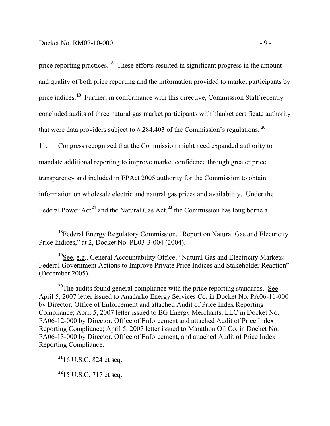price reporting practices.<sup>18</sup> These efforts resulted in significant progress in the amount and quality of both price reporting and the information provided to market participants by price indices.<sup>19</sup> Further, in conformance with this directive, Commission Staff recently concluded audits of three natural gas market participants with blanket certificate authority that were data providers subject to  $\S$  284.403 of the Commission's regulations.  $2^0$ 

11. Congress recognized that the Commission might need expanded authority to mandate additional reporting to improve market confidence through greater price transparency and included in EPAct 2005 authority for the Commission to obtain information on wholesale electric and natural gas prices and availability. Under the Federal Power  $Act^{21}$  and the Natural Gas  $Act^{22}$ , the Commission has long borne a

**<sup>19</sup>**See, e.g., General Accountability Office, "Natural Gas and Electricity Markets: Federal Government Actions to Improve Private Price Indices and Stakeholder Reaction" (December 2005).

<sup>20</sup>The audits found general compliance with the price reporting standards. See April 5, 2007 letter issued to Anadarko Energy Services Co. in Docket No. PA06-11-000 by Director, Office of Enforcement and attached Audit of Price Index Reporting Compliance; April 5, 2007 letter issued to BG Energy Merchants, LLC in Docket No. PA06-12-000 by Director, Office of Enforcement and attached Audit of Price Index Reporting Compliance; April 5, 2007 letter issued to Marathon Oil Co. in Docket No. PA06-13-000 by Director, Office of Enforcement, and attached Audit of Price Index Reporting Compliance.

**<sup>21</sup>**16 U.S.C. 824 et seq.

**<sup>22</sup>**15 U.S.C. 717 et seq.

**<sup>18</sup>**Federal Energy Regulatory Commission, "Report on Natural Gas and Electricity Price Indices," at 2, Docket No. PL03-3-004 (2004).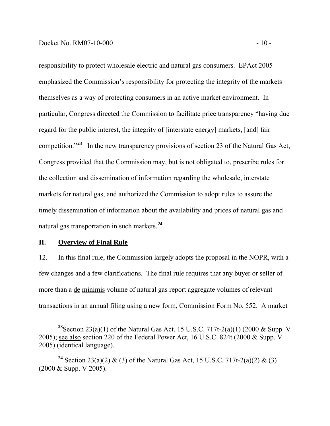responsibility to protect wholesale electric and natural gas consumers. EPAct 2005 emphasized the Commission's responsibility for protecting the integrity of the markets themselves as a way of protecting consumers in an active market environment. In particular, Congress directed the Commission to facilitate price transparency "having due regard for the public interest, the integrity of [interstate energy] markets, [and] fair competition."**<sup>23</sup>** In the new transparency provisions of section 23 of the Natural Gas Act, Congress provided that the Commission may, but is not obligated to, prescribe rules for the collection and dissemination of information regarding the wholesale, interstate markets for natural gas, and authorized the Commission to adopt rules to assure the timely dissemination of information about the availability and prices of natural gas and natural gas transportation in such markets.**<sup>24</sup>**

### **II. Overview of Final Rule**

12. In this final rule, the Commission largely adopts the proposal in the NOPR, with a few changes and a few clarifications. The final rule requires that any buyer or seller of more than a de minimis volume of natural gas report aggregate volumes of relevant transactions in an annual filing using a new form, Commission Form No. 552. A market

**<sup>23</sup>**Section 23(a)(1) of the Natural Gas Act, 15 U.S.C. 717t-2(a)(1) (2000 & Supp. V 2005); see also section 220 of the Federal Power Act, 16 U.S.C. 824t (2000 & Supp. V 2005) (identical language).

**<sup>24</sup>** Section 23(a)(2) & (3) of the Natural Gas Act, 15 U.S.C. 717t-2(a)(2) & (3) (2000 & Supp. V 2005).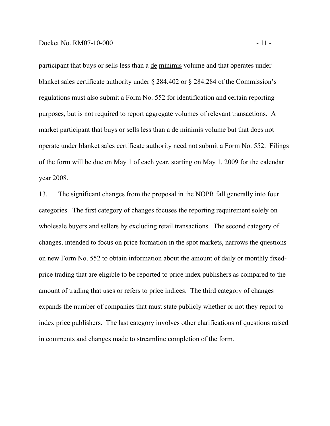participant that buys or sells less than a de minimis volume and that operates under blanket sales certificate authority under § 284.402 or § 284.284 of the Commission's regulations must also submit a Form No. 552 for identification and certain reporting purposes, but is not required to report aggregate volumes of relevant transactions. A market participant that buys or sells less than a de minimis volume but that does not operate under blanket sales certificate authority need not submit a Form No. 552. Filings of the form will be due on May 1 of each year, starting on May 1, 2009 for the calendar year 2008.

13. The significant changes from the proposal in the NOPR fall generally into four categories. The first category of changes focuses the reporting requirement solely on wholesale buyers and sellers by excluding retail transactions. The second category of changes, intended to focus on price formation in the spot markets, narrows the questions on new Form No. 552 to obtain information about the amount of daily or monthly fixedprice trading that are eligible to be reported to price index publishers as compared to the amount of trading that uses or refers to price indices. The third category of changes expands the number of companies that must state publicly whether or not they report to index price publishers. The last category involves other clarifications of questions raised in comments and changes made to streamline completion of the form.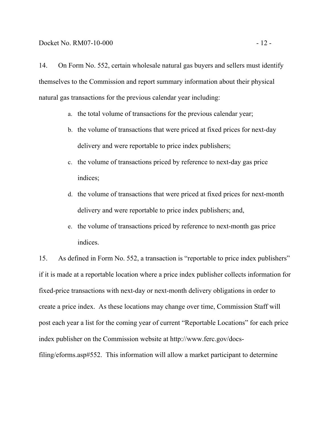themselves to the Commission and report summary information about their physical natural gas transactions for the previous calendar year including:

- a. the total volume of transactions for the previous calendar year;
- b. the volume of transactions that were priced at fixed prices for next-day delivery and were reportable to price index publishers;
- c. the volume of transactions priced by reference to next-day gas price indices;
- d. the volume of transactions that were priced at fixed prices for next-month delivery and were reportable to price index publishers; and,
- e. the volume of transactions priced by reference to next-month gas price indices.

15. As defined in Form No. 552, a transaction is "reportable to price index publishers" if it is made at a reportable location where a price index publisher collects information for fixed-price transactions with next-day or next-month delivery obligations in order to create a price index. As these locations may change over time, Commission Staff will post each year a list for the coming year of current "Reportable Locations" for each price index publisher on the Commission website at http://www.ferc.gov/docsfiling/eforms.asp#552. This information will allow a market participant to determine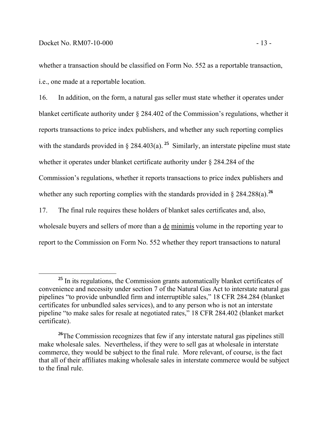whether a transaction should be classified on Form No. 552 as a reportable transaction, i.e., one made at a reportable location.

16. In addition, on the form, a natural gas seller must state whether it operates under blanket certificate authority under § 284.402 of the Commission's regulations, whether it reports transactions to price index publishers, and whether any such reporting complies with the standards provided in  $\S$  284.403(a). <sup>25</sup> Similarly, an interstate pipeline must state whether it operates under blanket certificate authority under § 284.284 of the Commission's regulations, whether it reports transactions to price index publishers and whether any such reporting complies with the standards provided in  $\S 284.288(a)$ .<sup>26</sup>

17. The final rule requires these holders of blanket sales certificates and, also, wholesale buyers and sellers of more than a de minimis volume in the reporting year to report to the Commission on Form No. 552 whether they report transactions to natural

**<sup>25</sup>** In its regulations, the Commission grants automatically blanket certificates of convenience and necessity under section 7 of the Natural Gas Act to interstate natural gas pipelines "to provide unbundled firm and interruptible sales," 18 CFR 284.284 (blanket certificates for unbundled sales services), and to any person who is not an interstate pipeline "to make sales for resale at negotiated rates," 18 CFR 284.402 (blanket market certificate).

<sup>&</sup>lt;sup>26</sup>The Commission recognizes that few if any interstate natural gas pipelines still make wholesale sales. Nevertheless, if they were to sell gas at wholesale in interstate commerce, they would be subject to the final rule. More relevant, of course, is the fact that all of their affiliates making wholesale sales in interstate commerce would be subject to the final rule.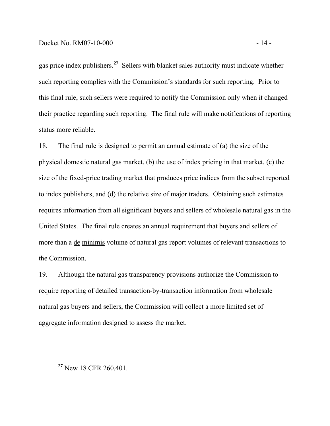gas price index publishers.**<sup>27</sup>** Sellers with blanket sales authority must indicate whether such reporting complies with the Commission's standards for such reporting. Prior to this final rule, such sellers were required to notify the Commission only when it changed their practice regarding such reporting. The final rule will make notifications of reporting status more reliable.

18. The final rule is designed to permit an annual estimate of (a) the size of the physical domestic natural gas market, (b) the use of index pricing in that market, (c) the size of the fixed-price trading market that produces price indices from the subset reported to index publishers, and (d) the relative size of major traders. Obtaining such estimates requires information from all significant buyers and sellers of wholesale natural gas in the United States. The final rule creates an annual requirement that buyers and sellers of more than a de minimis volume of natural gas report volumes of relevant transactions to the Commission.

19. Although the natural gas transparency provisions authorize the Commission to require reporting of detailed transaction-by-transaction information from wholesale natural gas buyers and sellers, the Commission will collect a more limited set of aggregate information designed to assess the market.

**<sup>27</sup>** New 18 CFR 260.401.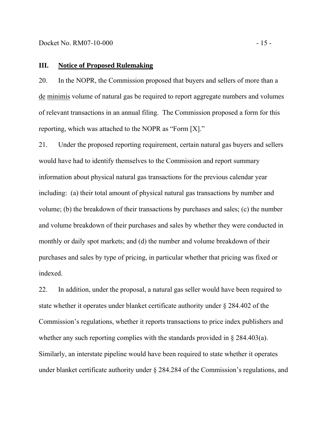## **III. Notice of Proposed Rulemaking**

20. In the NOPR, the Commission proposed that buyers and sellers of more than a de minimis volume of natural gas be required to report aggregate numbers and volumes of relevant transactions in an annual filing. The Commission proposed a form for this reporting, which was attached to the NOPR as "Form [X]."

21. Under the proposed reporting requirement, certain natural gas buyers and sellers would have had to identify themselves to the Commission and report summary information about physical natural gas transactions for the previous calendar year including: (a) their total amount of physical natural gas transactions by number and volume; (b) the breakdown of their transactions by purchases and sales; (c) the number and volume breakdown of their purchases and sales by whether they were conducted in monthly or daily spot markets; and (d) the number and volume breakdown of their purchases and sales by type of pricing, in particular whether that pricing was fixed or indexed.

22. In addition, under the proposal, a natural gas seller would have been required to state whether it operates under blanket certificate authority under § 284.402 of the Commission's regulations, whether it reports transactions to price index publishers and whether any such reporting complies with the standards provided in § 284.403(a). Similarly, an interstate pipeline would have been required to state whether it operates under blanket certificate authority under § 284.284 of the Commission's regulations, and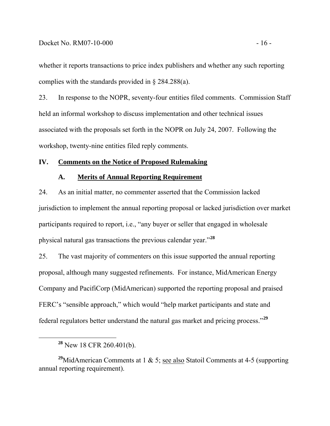whether it reports transactions to price index publishers and whether any such reporting complies with the standards provided in § 284.288(a).

23. In response to the NOPR, seventy-four entities filed comments. Commission Staff held an informal workshop to discuss implementation and other technical issues associated with the proposals set forth in the NOPR on July 24, 2007. Following the workshop, twenty-nine entities filed reply comments.

### **IV. Comments on the Notice of Proposed Rulemaking**

#### **A. Merits of Annual Reporting Requirement**

24. As an initial matter, no commenter asserted that the Commission lacked jurisdiction to implement the annual reporting proposal or lacked jurisdiction over market participants required to report, i.e., "any buyer or seller that engaged in wholesale physical natural gas transactions the previous calendar year."**<sup>28</sup>**

25. The vast majority of commenters on this issue supported the annual reporting proposal, although many suggested refinements. For instance, MidAmerican Energy Company and PacifiCorp (MidAmerican) supported the reporting proposal and praised FERC's "sensible approach," which would "help market participants and state and federal regulators better understand the natural gas market and pricing process."**<sup>29</sup>**

**<sup>28</sup>** New 18 CFR 260.401(b).

<sup>&</sup>lt;sup>29</sup>MidAmerican Comments at 1 & 5; see also Statoil Comments at 4-5 (supporting annual reporting requirement).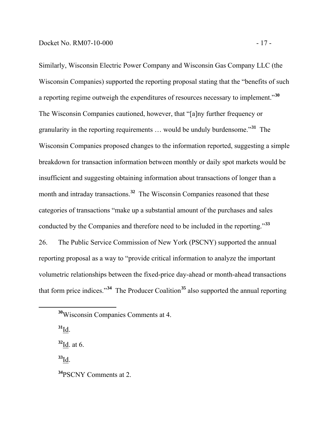Similarly, Wisconsin Electric Power Company and Wisconsin Gas Company LLC (the Wisconsin Companies) supported the reporting proposal stating that the "benefits of such a reporting regime outweigh the expenditures of resources necessary to implement."**<sup>30</sup>** The Wisconsin Companies cautioned, however, that "[a]ny further frequency or granularity in the reporting requirements … would be unduly burdensome."**<sup>31</sup>** The Wisconsin Companies proposed changes to the information reported, suggesting a simple breakdown for transaction information between monthly or daily spot markets would be insufficient and suggesting obtaining information about transactions of longer than a month and intraday transactions.<sup>32</sup> The Wisconsin Companies reasoned that these categories of transactions "make up a substantial amount of the purchases and sales conducted by the Companies and therefore need to be included in the reporting."**<sup>33</sup>** 26. The Public Service Commission of New York (PSCNY) supported the annual reporting proposal as a way to "provide critical information to analyze the important volumetric relationships between the fixed-price day-ahead or month-ahead transactions that form price indices."**<sup>34</sup>** The Producer Coalition**<sup>35</sup>** also supported the annual reporting

**<sup>31</sup>**Id.

**<sup>32</sup>**Id. at 6.

**<sup>33</sup>**Id.

**<sup>30</sup>**Wisconsin Companies Comments at 4.

**<sup>34</sup>**PSCNY Comments at 2.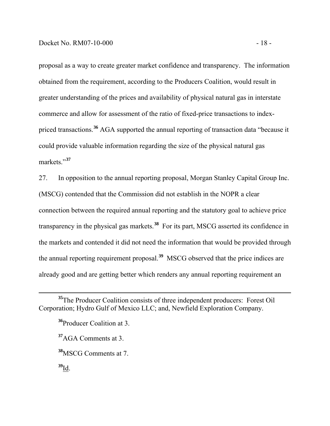proposal as a way to create greater market confidence and transparency. The information obtained from the requirement, according to the Producers Coalition, would result in greater understanding of the prices and availability of physical natural gas in interstate commerce and allow for assessment of the ratio of fixed-price transactions to indexpriced transactions.**<sup>36</sup>** AGA supported the annual reporting of transaction data "because it could provide valuable information regarding the size of the physical natural gas markets."**<sup>37</sup>**

27. In opposition to the annual reporting proposal, Morgan Stanley Capital Group Inc. (MSCG) contended that the Commission did not establish in the NOPR a clear connection between the required annual reporting and the statutory goal to achieve price transparency in the physical gas markets.**<sup>38</sup>** For its part, MSCG asserted its confidence in the markets and contended it did not need the information that would be provided through the annual reporting requirement proposal.**<sup>39</sup>** MSCG observed that the price indices are already good and are getting better which renders any annual reporting requirement an

**<sup>39</sup>**Id.

**<sup>35</sup>**The Producer Coalition consists of three independent producers: Forest Oil Corporation; Hydro Gulf of Mexico LLC; and, Newfield Exploration Company.

**<sup>36</sup>**Producer Coalition at 3.

**<sup>37</sup>**AGA Comments at 3.

**<sup>38</sup>**MSCG Comments at 7.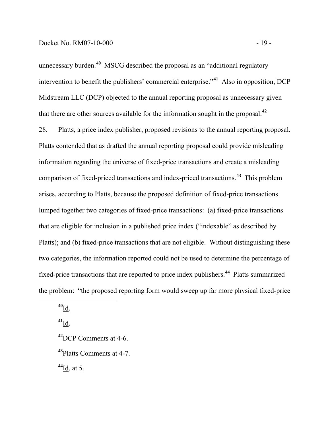unnecessary burden.**<sup>40</sup>** MSCG described the proposal as an "additional regulatory intervention to benefit the publishers' commercial enterprise."**<sup>41</sup>** Also in opposition, DCP Midstream LLC (DCP) objected to the annual reporting proposal as unnecessary given that there are other sources available for the information sought in the proposal.**<sup>42</sup>**

28. Platts, a price index publisher, proposed revisions to the annual reporting proposal. Platts contended that as drafted the annual reporting proposal could provide misleading information regarding the universe of fixed-price transactions and create a misleading comparison of fixed-priced transactions and index-priced transactions.**<sup>43</sup>** This problem arises, according to Platts, because the proposed definition of fixed-price transactions lumped together two categories of fixed-price transactions: (a) fixed-price transactions that are eligible for inclusion in a published price index ("indexable" as described by Platts); and (b) fixed-price transactions that are not eligible. Without distinguishing these two categories, the information reported could not be used to determine the percentage of fixed-price transactions that are reported to price index publishers.**<sup>44</sup>** Platts summarized the problem: "the proposed reporting form would sweep up far more physical fixed-price

**<sup>40</sup>**Id.

**<sup>41</sup>**Id.

**<sup>42</sup>**DCP Comments at 4-6. **<sup>43</sup>**Platts Comments at 4-7.

**<sup>44</sup>**Id. at 5.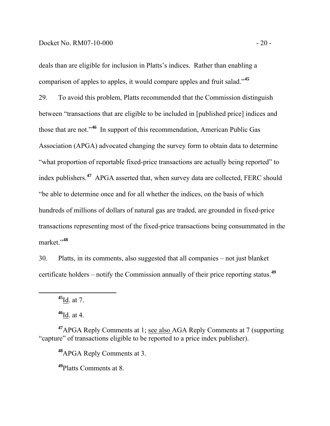deals than are eligible for inclusion in Platts's indices. Rather than enabling a comparison of apples to apples, it would compare apples and fruit salad."**<sup>45</sup>**

29. To avoid this problem, Platts recommended that the Commission distinguish between "transactions that are eligible to be included in [published price] indices and those that are not."**<sup>46</sup>** In support of this recommendation, American Public Gas Association (APGA) advocated changing the survey form to obtain data to determine "what proportion of reportable fixed-price transactions are actually being reported" to index publishers.**<sup>47</sup>** APGA asserted that, when survey data are collected, FERC should "be able to determine once and for all whether the indices, on the basis of which hundreds of millions of dollars of natural gas are traded, are grounded in fixed-price transactions representing most of the fixed-price transactions being consummated in the market."**<sup>48</sup>**

30. Platts, in its comments, also suggested that all companies – not just blanket certificate holders – notify the Commission annually of their price reporting status.**<sup>49</sup>**

**<sup>45</sup>**Id. at 7.

**<sup>46</sup>**Id. at 4.

**<sup>47</sup>**APGA Reply Comments at 1; see also AGA Reply Comments at 7 (supporting "capture" of transactions eligible to be reported to a price index publisher).

**<sup>48</sup>**APGA Reply Comments at 3.

**<sup>49</sup>**Platts Comments at 8.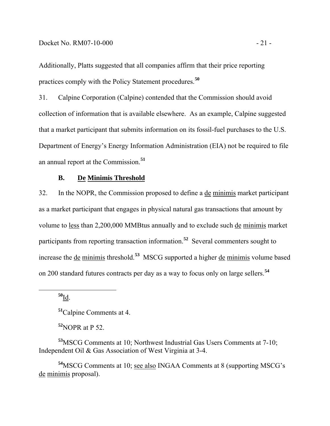Additionally, Platts suggested that all companies affirm that their price reporting practices comply with the Policy Statement procedures.**<sup>50</sup>**

31. Calpine Corporation (Calpine) contended that the Commission should avoid collection of information that is available elsewhere. As an example, Calpine suggested that a market participant that submits information on its fossil-fuel purchases to the U.S. Department of Energy's Energy Information Administration (EIA) not be required to file an annual report at the Commission.**<sup>51</sup>**

## **B. De Minimis Threshold**

32. In the NOPR, the Commission proposed to define a de minimis market participant as a market participant that engages in physical natural gas transactions that amount by volume to less than 2,200,000 MMBtus annually and to exclude such de minimis market participants from reporting transaction information.**<sup>52</sup>** Several commenters sought to increase the de minimis threshold.**<sup>53</sup>** MSCG supported a higher de minimis volume based on 200 standard futures contracts per day as a way to focus only on large sellers.**<sup>54</sup>**

**<sup>50</sup>**Id.

**<sup>51</sup>**Calpine Comments at 4.

**<sup>52</sup>**NOPR at P 52.

**<sup>53</sup>**MSCG Comments at 10; Northwest Industrial Gas Users Comments at 7-10; Independent Oil & Gas Association of West Virginia at 3-4.

**<sup>54</sup>**MSCG Comments at 10; see also INGAA Comments at 8 (supporting MSCG's de minimis proposal).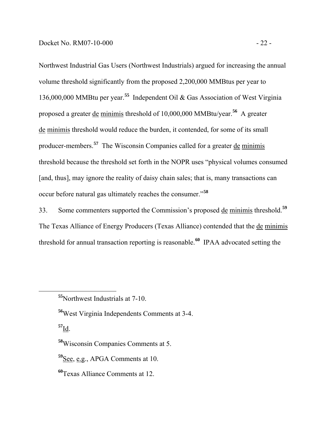Northwest Industrial Gas Users (Northwest Industrials) argued for increasing the annual volume threshold significantly from the proposed 2,200,000 MMBtus per year to 136,000,000 MMBtu per year.**<sup>55</sup>** Independent Oil & Gas Association of West Virginia proposed a greater de minimis threshold of 10,000,000 MMBtu/year.**<sup>56</sup>** A greater de minimis threshold would reduce the burden, it contended, for some of its small producer-members.**<sup>57</sup>** The Wisconsin Companies called for a greater de minimis threshold because the threshold set forth in the NOPR uses "physical volumes consumed [and, thus], may ignore the reality of daisy chain sales; that is, many transactions can occur before natural gas ultimately reaches the consumer."**<sup>58</sup>**

33. Some commenters supported the Commission's proposed de minimis threshold.**<sup>59</sup>** The Texas Alliance of Energy Producers (Texas Alliance) contended that the de minimis threshold for annual transaction reporting is reasonable.**60** IPAA advocated setting the

**<sup>55</sup>**Northwest Industrials at 7-10.

**<sup>56</sup>**West Virginia Independents Comments at 3-4.

**<sup>57</sup>**Id.

**<sup>58</sup>**Wisconsin Companies Comments at 5.

**<sup>59</sup>**See, e.g., APGA Comments at 10.

**<sup>60</sup>**Texas Alliance Comments at 12.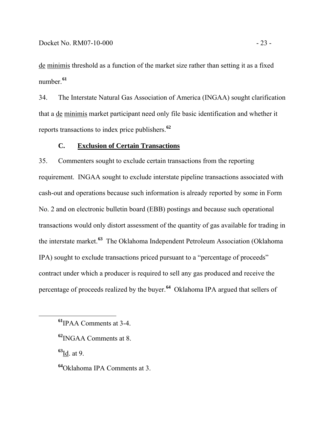de minimis threshold as a function of the market size rather than setting it as a fixed number.**<sup>61</sup>**

34. The Interstate Natural Gas Association of America (INGAA) sought clarification that a de minimis market participant need only file basic identification and whether it reports transactions to index price publishers.**<sup>62</sup>**

# **C. Exclusion of Certain Transactions**

35. Commenters sought to exclude certain transactions from the reporting requirement. INGAA sought to exclude interstate pipeline transactions associated with cash-out and operations because such information is already reported by some in Form No. 2 and on electronic bulletin board (EBB) postings and because such operational transactions would only distort assessment of the quantity of gas available for trading in the interstate market.**63** The Oklahoma Independent Petroleum Association (Oklahoma IPA) sought to exclude transactions priced pursuant to a "percentage of proceeds" contract under which a producer is required to sell any gas produced and receive the percentage of proceeds realized by the buyer.**64** Oklahoma IPA argued that sellers of

**<sup>61</sup>**IPAA Comments at 3-4.

**<sup>63</sup>**Id. at 9.

**<sup>64</sup>**Oklahoma IPA Comments at 3.

**<sup>62</sup>**INGAA Comments at 8.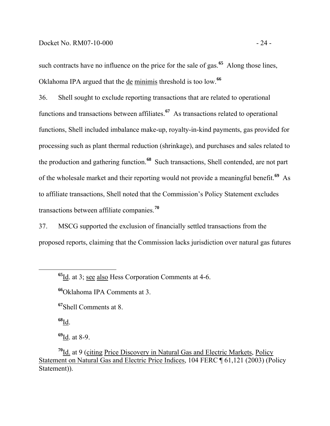such contracts have no influence on the price for the sale of gas.**<sup>65</sup>** Along those lines, Oklahoma IPA argued that the de minimis threshold is too low.**<sup>66</sup>**

36. Shell sought to exclude reporting transactions that are related to operational functions and transactions between affiliates.**<sup>67</sup>** As transactions related to operational functions, Shell included imbalance make-up, royalty-in-kind payments, gas provided for processing such as plant thermal reduction (shrinkage), and purchases and sales related to the production and gathering function.**<sup>68</sup>** Such transactions, Shell contended, are not part of the wholesale market and their reporting would not provide a meaningful benefit.**<sup>69</sup>** As to affiliate transactions, Shell noted that the Commission's Policy Statement excludes transactions between affiliate companies.**<sup>70</sup>**

37. MSCG supported the exclusion of financially settled transactions from the proposed reports, claiming that the Commission lacks jurisdiction over natural gas futures

**<sup>67</sup>**Shell Comments at 8.

**<sup>68</sup>**Id.

**<sup>69</sup>**Id. at 8-9.

**<sup>70</sup>**Id. at 9 (citing Price Discovery in Natural Gas and Electric Markets, Policy Statement on Natural Gas and Electric Price Indices, 104 FERC ¶ 61,121 (2003) (Policy Statement)).

**<sup>65</sup>**Id. at 3; see also Hess Corporation Comments at 4-6.

**<sup>66</sup>**Oklahoma IPA Comments at 3.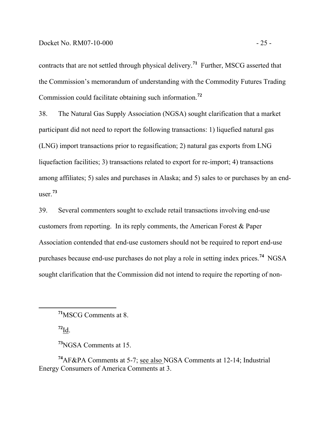contracts that are not settled through physical delivery.**<sup>71</sup>** Further, MSCG asserted that the Commission's memorandum of understanding with the Commodity Futures Trading Commission could facilitate obtaining such information.**<sup>72</sup>**

38. The Natural Gas Supply Association (NGSA) sought clarification that a market participant did not need to report the following transactions: 1) liquefied natural gas (LNG) import transactions prior to regasification; 2) natural gas exports from LNG liquefaction facilities; 3) transactions related to export for re-import; 4) transactions among affiliates; 5) sales and purchases in Alaska; and 5) sales to or purchases by an enduser.**<sup>73</sup>**

39. Several commenters sought to exclude retail transactions involving end-use customers from reporting. In its reply comments, the American Forest & Paper Association contended that end-use customers should not be required to report end-use purchases because end-use purchases do not play a role in setting index prices.**<sup>74</sup>** NGSA sought clarification that the Commission did not intend to require the reporting of non-

 $72$ <sub>Id.</sub>

**<sup>73</sup>**NGSA Comments at 15.

**<sup>74</sup>**AF&PA Comments at 5-7; see also NGSA Comments at 12-14; Industrial Energy Consumers of America Comments at 3.

**<sup>71</sup>**MSCG Comments at 8.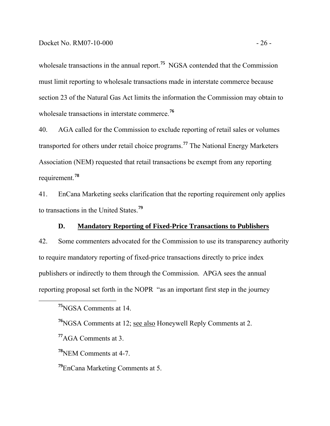wholesale transactions in the annual report.<sup>75</sup> NGSA contended that the Commission must limit reporting to wholesale transactions made in interstate commerce because section 23 of the Natural Gas Act limits the information the Commission may obtain to wholesale transactions in interstate commerce.**<sup>76</sup>**

40. AGA called for the Commission to exclude reporting of retail sales or volumes transported for others under retail choice programs.**<sup>77</sup>** The National Energy Marketers Association (NEM) requested that retail transactions be exempt from any reporting requirement.**<sup>78</sup>**

41. EnCana Marketing seeks clarification that the reporting requirement only applies to transactions in the United States.**<sup>79</sup>**

#### **D. Mandatory Reporting of Fixed-Price Transactions to Publishers**

42. Some commenters advocated for the Commission to use its transparency authority to require mandatory reporting of fixed-price transactions directly to price index publishers or indirectly to them through the Commission. APGA sees the annual reporting proposal set forth in the NOPR "as an important first step in the journey

**<sup>77</sup>**AGA Comments at 3.

**<sup>78</sup>**NEM Comments at 4-7.

**<sup>79</sup>**EnCana Marketing Comments at 5.

**<sup>75</sup>**NGSA Comments at 14.

**<sup>76</sup>**NGSA Comments at 12; see also Honeywell Reply Comments at 2.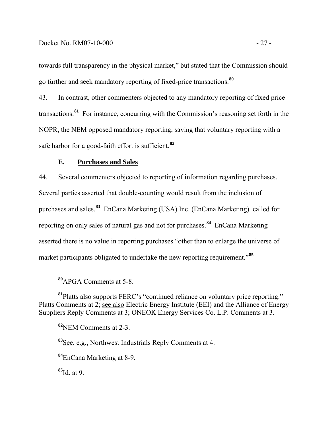towards full transparency in the physical market," but stated that the Commission should go further and seek mandatory reporting of fixed-price transactions.**<sup>80</sup>**

43. In contrast, other commenters objected to any mandatory reporting of fixed price transactions.**<sup>81</sup>** For instance, concurring with the Commission's reasoning set forth in the NOPR, the NEM opposed mandatory reporting, saying that voluntary reporting with a safe harbor for a good-faith effort is sufficient.**<sup>82</sup>**

# **E. Purchases and Sales**

44. Several commenters objected to reporting of information regarding purchases. Several parties asserted that double-counting would result from the inclusion of purchases and sales.**<sup>83</sup>** EnCana Marketing (USA) Inc. (EnCana Marketing) called for reporting on only sales of natural gas and not for purchases.**<sup>84</sup>** EnCana Marketing asserted there is no value in reporting purchases "other than to enlarge the universe of market participants obligated to undertake the new reporting requirement.<sup>85</sup>

**<sup>80</sup>**APGA Comments at 5-8.

**<sup>81</sup>**Platts also supports FERC's "continued reliance on voluntary price reporting." Platts Comments at 2; see also Electric Energy Institute (EEI) and the Alliance of Energy Suppliers Reply Comments at 3; ONEOK Energy Services Co. L.P. Comments at 3.

**<sup>82</sup>**NEM Comments at 2-3.

**<sup>83</sup>**See, e.g., Northwest Industrials Reply Comments at 4.

**<sup>84</sup>**EnCana Marketing at 8-9.

**<sup>85</sup>**Id. at 9.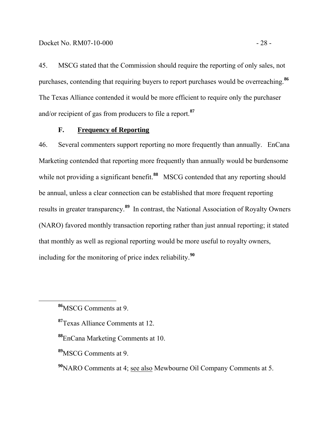45. MSCG stated that the Commission should require the reporting of only sales, not purchases, contending that requiring buyers to report purchases would be overreaching.**<sup>86</sup>** The Texas Alliance contended it would be more efficient to require only the purchaser and/or recipient of gas from producers to file a report.**<sup>87</sup>**

# **F. Frequency of Reporting**

46. Several commenters support reporting no more frequently than annually. EnCana Marketing contended that reporting more frequently than annually would be burdensome while not providing a significant benefit.<sup>88</sup> MSCG contended that any reporting should be annual, unless a clear connection can be established that more frequent reporting results in greater transparency.**<sup>89</sup>** In contrast, the National Association of Royalty Owners (NARO) favored monthly transaction reporting rather than just annual reporting; it stated that monthly as well as regional reporting would be more useful to royalty owners, including for the monitoring of price index reliability.**<sup>90</sup>**

**<sup>89</sup>**MSCG Comments at 9.

**<sup>86</sup>**MSCG Comments at 9.

**<sup>87</sup>**Texas Alliance Comments at 12.

**<sup>88</sup>**EnCana Marketing Comments at 10.

**<sup>90</sup>**NARO Comments at 4; see also Mewbourne Oil Company Comments at 5.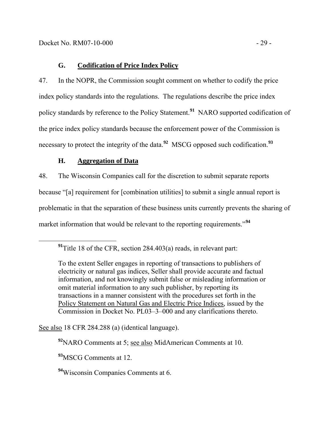# **G. Codification of Price Index Policy**

47. In the NOPR, the Commission sought comment on whether to codify the price index policy standards into the regulations. The regulations describe the price index policy standards by reference to the Policy Statement.**<sup>91</sup>** NARO supported codification of the price index policy standards because the enforcement power of the Commission is necessary to protect the integrity of the data.**<sup>92</sup>** MSCG opposed such codification.**<sup>93</sup>**

# **H. Aggregation of Data**

48. The Wisconsin Companies call for the discretion to submit separate reports because "[a] requirement for [combination utilities] to submit a single annual report is problematic in that the separation of these business units currently prevents the sharing of market information that would be relevant to the reporting requirements.<sup>"94</sup>

See also 18 CFR 284.288 (a) (identical language).

**<sup>92</sup>**NARO Comments at 5; see also MidAmerican Comments at 10.

**<sup>93</sup>**MSCG Comments at 12.

**<sup>94</sup>**Wisconsin Companies Comments at 6.

**<sup>91</sup>**Title 18 of the CFR, section 284.403(a) reads, in relevant part:

To the extent Seller engages in reporting of transactions to publishers of electricity or natural gas indices, Seller shall provide accurate and factual information, and not knowingly submit false or misleading information or omit material information to any such publisher, by reporting its transactions in a manner consistent with the procedures set forth in the Policy Statement on Natural Gas and Electric Price Indices*,* issued by the Commission in Docket No. PL03–3–000 and any clarifications thereto.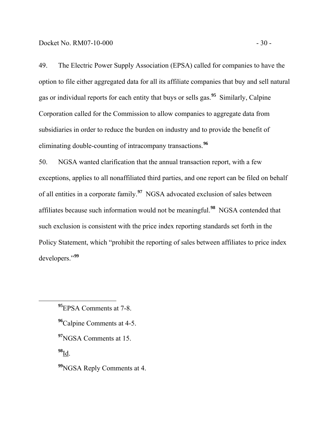49. The Electric Power Supply Association (EPSA) called for companies to have the option to file either aggregated data for all its affiliate companies that buy and sell natural gas or individual reports for each entity that buys or sells gas.**<sup>95</sup>** Similarly, Calpine Corporation called for the Commission to allow companies to aggregate data from subsidiaries in order to reduce the burden on industry and to provide the benefit of eliminating double-counting of intracompany transactions.**<sup>96</sup>**

50. NGSA wanted clarification that the annual transaction report, with a few exceptions, applies to all nonaffiliated third parties, and one report can be filed on behalf of all entities in a corporate family.**<sup>97</sup>** NGSA advocated exclusion of sales between affiliates because such information would not be meaningful.**<sup>98</sup>** NGSA contended that such exclusion is consistent with the price index reporting standards set forth in the Policy Statement, which "prohibit the reporting of sales between affiliates to price index developers."**<sup>99</sup>**

**<sup>98</sup>**Id.

**<sup>99</sup>**NGSA Reply Comments at 4.

**<sup>95</sup>**EPSA Comments at 7-8.

**<sup>96</sup>**Calpine Comments at 4-5.

**<sup>97</sup>**NGSA Comments at 15.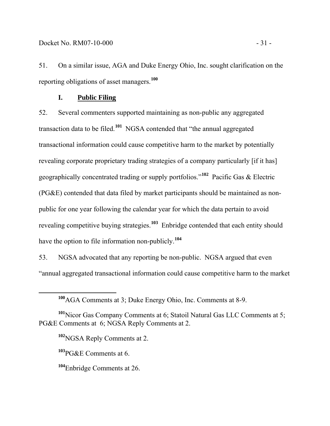51. On a similar issue, AGA and Duke Energy Ohio, Inc. sought clarification on the reporting obligations of asset managers.**<sup>100</sup>**

# **I. Public Filing**

52. Several commenters supported maintaining as non-public any aggregated transaction data to be filed.**<sup>101</sup>** NGSA contended that "the annual aggregated transactional information could cause competitive harm to the market by potentially revealing corporate proprietary trading strategies of a company particularly [if it has] geographically concentrated trading or supply portfolios."**<sup>102</sup>** Pacific Gas & Electric (PG&E) contended that data filed by market participants should be maintained as nonpublic for one year following the calendar year for which the data pertain to avoid revealing competitive buying strategies.**<sup>103</sup>** Enbridge contended that each entity should have the option to file information non-publicly.**<sup>104</sup>**

53. NGSA advocated that any reporting be non-public. NGSA argued that even "annual aggregated transactional information could cause competitive harm to the market

**<sup>103</sup>**PG&E Comments at 6.

**<sup>100</sup>**AGA Comments at 3; Duke Energy Ohio, Inc. Comments at 8-9.

**<sup>101</sup>**Nicor Gas Company Comments at 6; Statoil Natural Gas LLC Comments at 5; PG&E Comments at 6; NGSA Reply Comments at 2.

**<sup>102</sup>**NGSA Reply Comments at 2.

**<sup>104</sup>**Enbridge Comments at 26.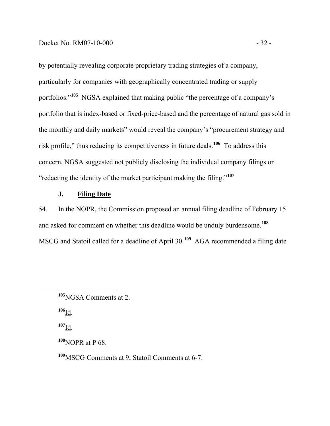by potentially revealing corporate proprietary trading strategies of a company, particularly for companies with geographically concentrated trading or supply portfolios."**<sup>105</sup>** NGSA explained that making public "the percentage of a company's portfolio that is index-based or fixed-price-based and the percentage of natural gas sold in the monthly and daily markets" would reveal the company's "procurement strategy and risk profile," thus reducing its competitiveness in future deals.**<sup>106</sup>** To address this concern, NGSA suggested not publicly disclosing the individual company filings or "redacting the identity of the market participant making the filing."**<sup>107</sup>**

## **J. Filing Date**

54. In the NOPR, the Commission proposed an annual filing deadline of February 15 and asked for comment on whether this deadline would be unduly burdensome.**<sup>108</sup>** MSCG and Statoil called for a deadline of April 30.**<sup>109</sup>** AGA recommended a filing date

**<sup>106</sup>**Id.

**<sup>107</sup>**Id.

**<sup>108</sup>**NOPR at P 68.

**<sup>109</sup>**MSCG Comments at 9; Statoil Comments at 6-7.

**<sup>105</sup>**NGSA Comments at 2.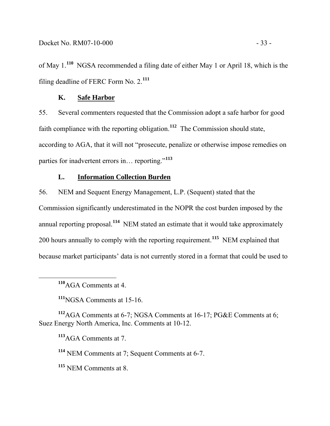of May 1.**<sup>110</sup>** NGSA recommended a filing date of either May 1 or April 18, which is the filing deadline of FERC Form No. 2.**<sup>111</sup>**

# **K. Safe Harbor**

55. Several commenters requested that the Commission adopt a safe harbor for good faith compliance with the reporting obligation.**<sup>112</sup>** The Commission should state, according to AGA, that it will not "prosecute, penalize or otherwise impose remedies on parties for inadvertent errors in… reporting."**<sup>113</sup>**

## **L. Information Collection Burden**

56. NEM and Sequent Energy Management, L.P. (Sequent) stated that the Commission significantly underestimated in the NOPR the cost burden imposed by the annual reporting proposal.**<sup>114</sup>** NEM stated an estimate that it would take approximately 200 hours annually to comply with the reporting requirement.**<sup>115</sup>** NEM explained that because market participants' data is not currently stored in a format that could be used to

**<sup>111</sup>**NGSA Comments at 15-16.

**<sup>112</sup>**AGA Comments at 6-7; NGSA Comments at 16-17; PG&E Comments at 6; Suez Energy North America, Inc. Comments at 10-12.

**<sup>113</sup>**AGA Comments at 7.

**<sup>114</sup>** NEM Comments at 7; Sequent Comments at 6-7.

**<sup>115</sup>** NEM Comments at 8.

**<sup>110</sup>**AGA Comments at 4.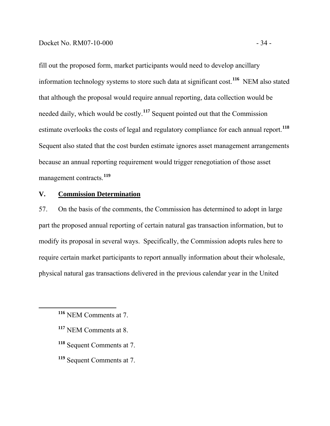fill out the proposed form, market participants would need to develop ancillary information technology systems to store such data at significant cost.**<sup>116</sup>** NEM also stated that although the proposal would require annual reporting, data collection would be needed daily, which would be costly.**<sup>117</sup>** Sequent pointed out that the Commission estimate overlooks the costs of legal and regulatory compliance for each annual report.**<sup>118</sup>** Sequent also stated that the cost burden estimate ignores asset management arrangements because an annual reporting requirement would trigger renegotiation of those asset management contracts.**<sup>119</sup>**

# **V. Commission Determination**

57. On the basis of the comments, the Commission has determined to adopt in large part the proposed annual reporting of certain natural gas transaction information, but to modify its proposal in several ways. Specifically, the Commission adopts rules here to require certain market participants to report annually information about their wholesale, physical natural gas transactions delivered in the previous calendar year in the United

- **<sup>118</sup>** Sequent Comments at 7.
- **<sup>119</sup>** Sequent Comments at 7.

**<sup>116</sup>** NEM Comments at 7.

**<sup>117</sup>** NEM Comments at 8.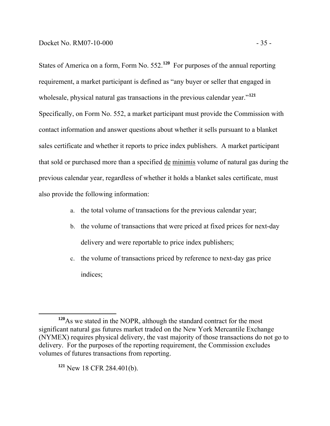States of America on a form, Form No. 552.**<sup>120</sup>** For purposes of the annual reporting requirement, a market participant is defined as "any buyer or seller that engaged in wholesale, physical natural gas transactions in the previous calendar year.<sup>"121</sup> Specifically, on Form No. 552, a market participant must provide the Commission with contact information and answer questions about whether it sells pursuant to a blanket sales certificate and whether it reports to price index publishers. A market participant that sold or purchased more than a specified de minimis volume of natural gas during the previous calendar year, regardless of whether it holds a blanket sales certificate, must also provide the following information:

- a. the total volume of transactions for the previous calendar year;
- b. the volume of transactions that were priced at fixed prices for next-day delivery and were reportable to price index publishers;
- c. the volume of transactions priced by reference to next-day gas price indices;

**<sup>121</sup>** New 18 CFR 284.401(b).

**<sup>120</sup>**As we stated in the NOPR, although the standard contract for the most significant natural gas futures market traded on the New York Mercantile Exchange (NYMEX) requires physical delivery, the vast majority of those transactions do not go to delivery. For the purposes of the reporting requirement, the Commission excludes volumes of futures transactions from reporting.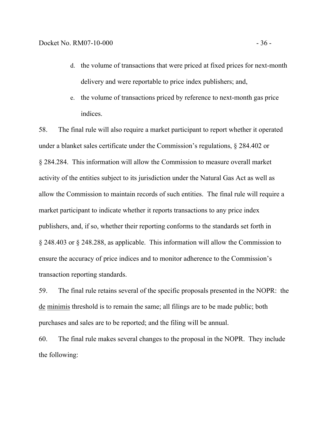- d. the volume of transactions that were priced at fixed prices for next-month delivery and were reportable to price index publishers; and,
- e. the volume of transactions priced by reference to next-month gas price indices.

58. The final rule will also require a market participant to report whether it operated under a blanket sales certificate under the Commission's regulations, § 284.402 or § 284.284. This information will allow the Commission to measure overall market activity of the entities subject to its jurisdiction under the Natural Gas Act as well as allow the Commission to maintain records of such entities. The final rule will require a market participant to indicate whether it reports transactions to any price index publishers, and, if so, whether their reporting conforms to the standards set forth in § 248.403 or § 248.288, as applicable. This information will allow the Commission to ensure the accuracy of price indices and to monitor adherence to the Commission's transaction reporting standards.

59. The final rule retains several of the specific proposals presented in the NOPR: the de minimis threshold is to remain the same; all filings are to be made public; both purchases and sales are to be reported; and the filing will be annual.

60. The final rule makes several changes to the proposal in the NOPR. They include the following: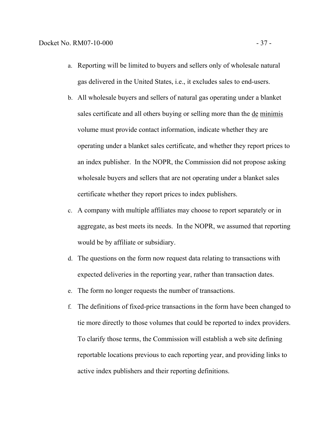- a. Reporting will be limited to buyers and sellers only of wholesale natural gas delivered in the United States, i.e., it excludes sales to end-users.
- b. All wholesale buyers and sellers of natural gas operating under a blanket sales certificate and all others buying or selling more than the de minimis volume must provide contact information, indicate whether they are operating under a blanket sales certificate, and whether they report prices to an index publisher. In the NOPR, the Commission did not propose asking wholesale buyers and sellers that are not operating under a blanket sales certificate whether they report prices to index publishers.
- c. A company with multiple affiliates may choose to report separately or in aggregate, as best meets its needs. In the NOPR, we assumed that reporting would be by affiliate or subsidiary.
- d. The questions on the form now request data relating to transactions with expected deliveries in the reporting year, rather than transaction dates.
- e. The form no longer requests the number of transactions.
- f. The definitions of fixed-price transactions in the form have been changed to tie more directly to those volumes that could be reported to index providers. To clarify those terms, the Commission will establish a web site defining reportable locations previous to each reporting year, and providing links to active index publishers and their reporting definitions.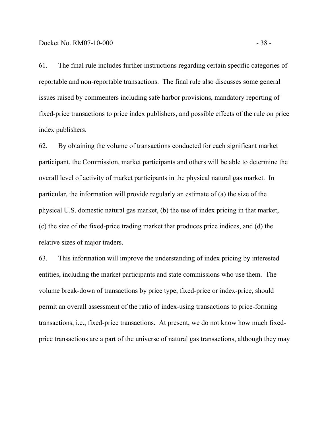61. The final rule includes further instructions regarding certain specific categories of reportable and non-reportable transactions. The final rule also discusses some general issues raised by commenters including safe harbor provisions, mandatory reporting of fixed-price transactions to price index publishers, and possible effects of the rule on price index publishers.

62. By obtaining the volume of transactions conducted for each significant market participant, the Commission, market participants and others will be able to determine the overall level of activity of market participants in the physical natural gas market. In particular, the information will provide regularly an estimate of (a) the size of the physical U.S. domestic natural gas market, (b) the use of index pricing in that market, (c) the size of the fixed-price trading market that produces price indices, and (d) the relative sizes of major traders.

63. This information will improve the understanding of index pricing by interested entities, including the market participants and state commissions who use them. The volume break-down of transactions by price type, fixed-price or index-price, should permit an overall assessment of the ratio of index-using transactions to price-forming transactions, i.e., fixed-price transactions. At present, we do not know how much fixedprice transactions are a part of the universe of natural gas transactions, although they may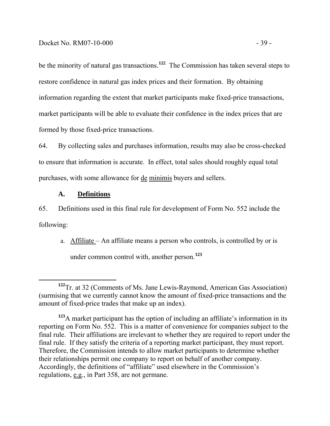be the minority of natural gas transactions.**<sup>122</sup>** The Commission has taken several steps to restore confidence in natural gas index prices and their formation. By obtaining information regarding the extent that market participants make fixed-price transactions, market participants will be able to evaluate their confidence in the index prices that are formed by those fixed-price transactions.

64. By collecting sales and purchases information, results may also be cross-checked to ensure that information is accurate. In effect, total sales should roughly equal total purchases, with some allowance for de minimis buyers and sellers.

#### **A. Definitions**

65. Definitions used in this final rule for development of Form No. 552 include the following:

a. Affiliate – An affiliate means a person who controls, is controlled by or is under common control with, another person.**<sup>123</sup>**

**<sup>122</sup>**Tr. at 32 (Comments of Ms. Jane Lewis-Raymond, American Gas Association) (surmising that we currently cannot know the amount of fixed-price transactions and the amount of fixed-price trades that make up an index).

**<sup>123</sup>**A market participant has the option of including an affiliate's information in its reporting on Form No. 552. This is a matter of convenience for companies subject to the final rule. Their affiliations are irrelevant to whether they are required to report under the final rule. If they satisfy the criteria of a reporting market participant, they must report. Therefore, the Commission intends to allow market participants to determine whether their relationships permit one company to report on behalf of another company. Accordingly, the definitions of "affiliate" used elsewhere in the Commission's regulations, e.g., in Part 358, are not germane.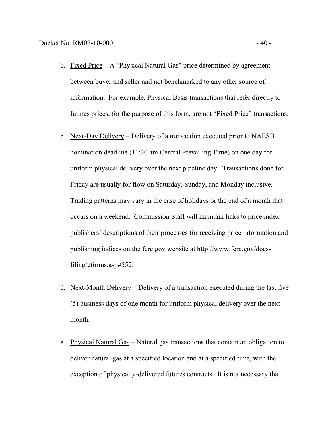- b. Fixed Price  $-A$  "Physical Natural Gas" price determined by agreement between buyer and seller and not benchmarked to any other source of information. For example, Physical Basis transactions that refer directly to futures prices, for the purpose of this form, are not "Fixed Price" transactions.
- c. Next-Day Delivery Delivery of a transaction executed prior to NAESB nomination deadline (11:30 am Central Prevailing Time) on one day for uniform physical delivery over the next pipeline day. Transactions done for Friday are usually for flow on Saturday, Sunday, and Monday inclusive. Trading patterns may vary in the case of holidays or the end of a month that occurs on a weekend. Commission Staff will maintain links to price index publishers' descriptions of their processes for receiving price information and publishing indices on the ferc.gov website at http://www.ferc.gov/docsfiling/eforms.asp#552.
- d. Next-Month Delivery Delivery of a transaction executed during the last five (5) business days of one month for uniform physical delivery over the next month.
- e. Physical Natural Gas Natural gas transactions that contain an obligation to deliver natural gas at a specified location and at a specified time, with the exception of physically-delivered futures contracts. It is not necessary that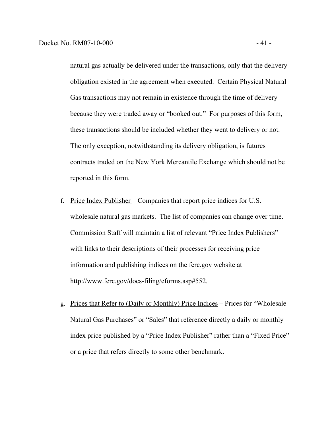natural gas actually be delivered under the transactions, only that the delivery obligation existed in the agreement when executed. Certain Physical Natural Gas transactions may not remain in existence through the time of delivery because they were traded away or "booked out." For purposes of this form, these transactions should be included whether they went to delivery or not. The only exception, notwithstanding its delivery obligation, is futures contracts traded on the New York Mercantile Exchange which should not be reported in this form.

- f. Price Index Publisher Companies that report price indices for U.S. wholesale natural gas markets. The list of companies can change over time. Commission Staff will maintain a list of relevant "Price Index Publishers" with links to their descriptions of their processes for receiving price information and publishing indices on the ferc.gov website at http://www.ferc.gov/docs-filing/eforms.asp#552.
- g. Prices that Refer to (Daily or Monthly) Price Indices Prices for "Wholesale Natural Gas Purchases" or "Sales" that reference directly a daily or monthly index price published by a "Price Index Publisher" rather than a "Fixed Price" or a price that refers directly to some other benchmark.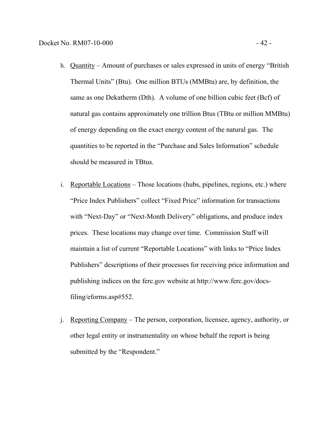- h. Quantity Amount of purchases or sales expressed in units of energy "British Thermal Units" (Btu). One million BTUs (MMBtu) are, by definition, the same as one Dekatherm (Dth). A volume of one billion cubic feet (Bcf) of natural gas contains approximately one trillion Btus (TBtu or million MMBtu) of energy depending on the exact energy content of the natural gas. The quantities to be reported in the "Purchase and Sales Information" schedule should be measured in TBtus.
- i. Reportable Locations Those locations (hubs, pipelines, regions, etc.) where "Price Index Publishers" collect "Fixed Price" information for transactions with "Next-Day" or "Next-Month Delivery" obligations, and produce index prices. These locations may change over time. Commission Staff will maintain a list of current "Reportable Locations" with links to "Price Index Publishers" descriptions of their processes for receiving price information and publishing indices on the ferc.gov website at http://www.ferc.gov/docsfiling/eforms.asp#552.
- j. Reporting Company The person, corporation, licensee, agency, authority, or other legal entity or instrumentality on whose behalf the report is being submitted by the "Respondent."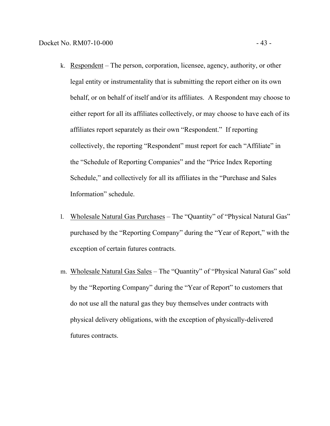- k. Respondent The person, corporation, licensee, agency, authority, or other legal entity or instrumentality that is submitting the report either on its own behalf, or on behalf of itself and/or its affiliates. A Respondent may choose to either report for all its affiliates collectively, or may choose to have each of its affiliates report separately as their own "Respondent." If reporting collectively, the reporting "Respondent" must report for each "Affiliate" in the "Schedule of Reporting Companies" and the "Price Index Reporting Schedule," and collectively for all its affiliates in the "Purchase and Sales Information" schedule.
- l. Wholesale Natural Gas Purchases The "Quantity" of "Physical Natural Gas" purchased by the "Reporting Company" during the "Year of Report," with the exception of certain futures contracts.
- m. Wholesale Natural Gas Sales The "Quantity" of "Physical Natural Gas" sold by the "Reporting Company" during the "Year of Report" to customers that do not use all the natural gas they buy themselves under contracts with physical delivery obligations, with the exception of physically-delivered futures contracts.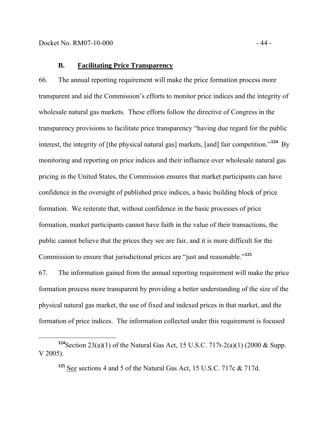66. The annual reporting requirement will make the price formation process more transparent and aid the Commission's efforts to monitor price indices and the integrity of wholesale natural gas markets. These efforts follow the directive of Congress in the transparency provisions to facilitate price transparency "having due regard for the public interest, the integrity of [the physical natural gas] markets, [and] fair competition."**<sup>124</sup>** By monitoring and reporting on price indices and their influence over wholesale natural gas pricing in the United States, the Commission ensures that market participants can have confidence in the oversight of published price indices, a basic building block of price formation. We reiterate that, without confidence in the basic processes of price formation, market participants cannot have faith in the value of their transactions, the public cannot believe that the prices they see are fair, and it is more difficult for the Commission to ensure that jurisdictional prices are "just and reasonable."**<sup>125</sup>**

67. The information gained from the annual reporting requirement will make the price formation process more transparent by providing a better understanding of the size of the physical natural gas market, the use of fixed and indexed prices in that market, and the formation of price indices. The information collected under this requirement is focused

**<sup>125</sup>** See sections 4 and 5 of the Natural Gas Act, 15 U.S.C. 717c & 717d.

**<sup>124</sup>**Section 23(a)(1) of the Natural Gas Act, 15 U.S.C. 717t-2(a)(1) (2000 & Supp. V 2005).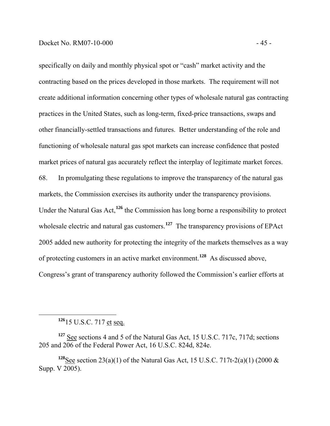specifically on daily and monthly physical spot or "cash" market activity and the contracting based on the prices developed in those markets. The requirement will not create additional information concerning other types of wholesale natural gas contracting practices in the United States, such as long-term, fixed-price transactions, swaps and other financially-settled transactions and futures. Better understanding of the role and functioning of wholesale natural gas spot markets can increase confidence that posted market prices of natural gas accurately reflect the interplay of legitimate market forces. 68. In promulgating these regulations to improve the transparency of the natural gas markets, the Commission exercises its authority under the transparency provisions. Under the Natural Gas Act,**<sup>126</sup>** the Commission has long borne a responsibility to protect wholesale electric and natural gas customers.<sup>127</sup> The transparency provisions of EPAct 2005 added new authority for protecting the integrity of the markets themselves as a way of protecting customers in an active market environment.**<sup>128</sup>** As discussed above, Congress's grant of transparency authority followed the Commission's earlier efforts at

**<sup>126</sup>**15 U.S.C. 717 et seq.

**<sup>127</sup>** See sections 4 and 5 of the Natural Gas Act, 15 U.S.C. 717c, 717d; sections 205 and 206 of the Federal Power Act, 16 U.S.C. 824d, 824e.

<sup>&</sup>lt;sup>128</sup>See section 23(a)(1) of the Natural Gas Act, 15 U.S.C. 717t-2(a)(1) (2000  $\&$ Supp. V 2005).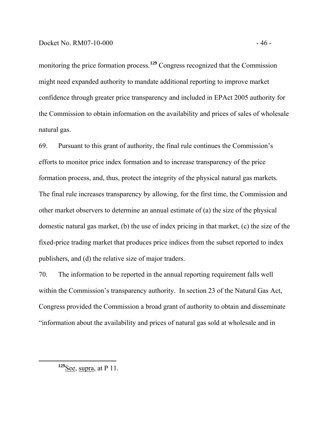monitoring the price formation process.<sup>129</sup> Congress recognized that the Commission might need expanded authority to mandate additional reporting to improve market confidence through greater price transparency and included in EPAct 2005 authority for the Commission to obtain information on the availability and prices of sales of wholesale natural gas.

69. Pursuant to this grant of authority, the final rule continues the Commission's efforts to monitor price index formation and to increase transparency of the price formation process, and, thus, protect the integrity of the physical natural gas markets. The final rule increases transparency by allowing, for the first time, the Commission and other market observers to determine an annual estimate of (a) the size of the physical domestic natural gas market, (b) the use of index pricing in that market, (c) the size of the fixed-price trading market that produces price indices from the subset reported to index publishers, and (d) the relative size of major traders.

70. The information to be reported in the annual reporting requirement falls well within the Commission's transparency authority. In section 23 of the Natural Gas Act, Congress provided the Commission a broad grant of authority to obtain and disseminate "information about the availability and prices of natural gas sold at wholesale and in

**<sup>129</sup>**See, supra, at P 11.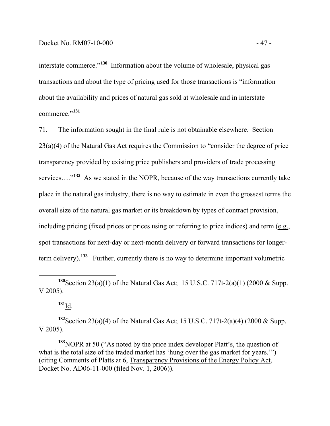interstate commerce."**<sup>130</sup>** Information about the volume of wholesale, physical gas transactions and about the type of pricing used for those transactions is "information about the availability and prices of natural gas sold at wholesale and in interstate commerce."**<sup>131</sup>**

71. The information sought in the final rule is not obtainable elsewhere. Section 23(a)(4) of the Natural Gas Act requires the Commission to "consider the degree of price transparency provided by existing price publishers and providers of trade processing services…."**<sup>132</sup>** As we stated in the NOPR, because of the way transactions currently take place in the natural gas industry, there is no way to estimate in even the grossest terms the overall size of the natural gas market or its breakdown by types of contract provision, including pricing (fixed prices or prices using or referring to price indices) and term (e.g., spot transactions for next-day or next-month delivery or forward transactions for longerterm delivery).**<sup>133</sup>** Further, currently there is no way to determine important volumetric

**<sup>131</sup>**Id.

**<sup>132</sup>**Section 23(a)(4) of the Natural Gas Act; 15 U.S.C. 717t-2(a)(4) (2000 & Supp. V 2005).

**<sup>133</sup>**NOPR at 50 ("As noted by the price index developer Platt's, the question of what is the total size of the traded market has 'hung over the gas market for years.'") (citing Comments of Platts at 6, Transparency Provisions of the Energy Policy Act, Docket No. AD06-11-000 (filed Nov. 1, 2006)).

**<sup>130</sup>**Section 23(a)(1) of the Natural Gas Act; 15 U.S.C. 717t-2(a)(1) (2000 & Supp. V 2005).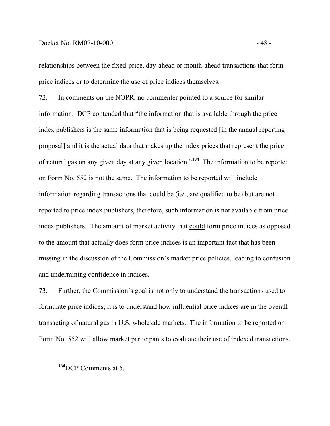#### Docket No. RM07-10-000 - 48 -

relationships between the fixed-price, day-ahead or month-ahead transactions that form price indices or to determine the use of price indices themselves.

72. In comments on the NOPR, no commenter pointed to a source for similar information. DCP contended that "the information that is available through the price index publishers is the same information that is being requested [in the annual reporting proposal] and it is the actual data that makes up the index prices that represent the price of natural gas on any given day at any given location."**<sup>134</sup>** The information to be reported on Form No. 552 is not the same. The information to be reported will include information regarding transactions that could be (i.e., are qualified to be) but are not reported to price index publishers, therefore, such information is not available from price index publishers. The amount of market activity that could form price indices as opposed to the amount that actually does form price indices is an important fact that has been missing in the discussion of the Commission's market price policies, leading to confusion and undermining confidence in indices.

73. Further, the Commission's goal is not only to understand the transactions used to formulate price indices; it is to understand how influential price indices are in the overall transacting of natural gas in U.S. wholesale markets. The information to be reported on Form No. 552 will allow market participants to evaluate their use of indexed transactions.

**<sup>134</sup>**DCP Comments at 5.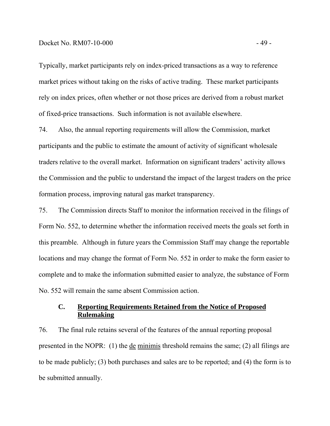#### Docket No. RM07-10-000 - 49 -

Typically, market participants rely on index-priced transactions as a way to reference market prices without taking on the risks of active trading. These market participants rely on index prices, often whether or not those prices are derived from a robust market of fixed-price transactions. Such information is not available elsewhere.

74. Also, the annual reporting requirements will allow the Commission, market participants and the public to estimate the amount of activity of significant wholesale traders relative to the overall market. Information on significant traders' activity allows the Commission and the public to understand the impact of the largest traders on the price formation process, improving natural gas market transparency.

75. The Commission directs Staff to monitor the information received in the filings of Form No. 552, to determine whether the information received meets the goals set forth in this preamble. Although in future years the Commission Staff may change the reportable locations and may change the format of Form No. 552 in order to make the form easier to complete and to make the information submitted easier to analyze, the substance of Form No. 552 will remain the same absent Commission action.

# **C. Reporting Requirements Retained from the Notice of Proposed Rulemaking**

76. The final rule retains several of the features of the annual reporting proposal presented in the NOPR: (1) the de minimis threshold remains the same; (2) all filings are to be made publicly; (3) both purchases and sales are to be reported; and (4) the form is to be submitted annually.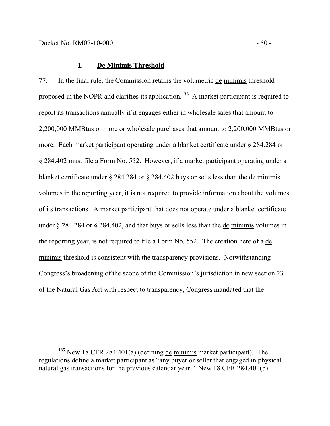77. In the final rule, the Commission retains the volumetric de minimis threshold proposed in the NOPR and clarifies its application.**<sup>135</sup>** A market participant is required to report its transactions annually if it engages either in wholesale sales that amount to 2,200,000 MMBtus or more or wholesale purchases that amount to 2,200,000 MMBtus or more. Each market participant operating under a blanket certificate under § 284.284 or § 284.402 must file a Form No. 552. However, if a market participant operating under a blanket certificate under § 284.284 or § 284.402 buys or sells less than the de minimis volumes in the reporting year, it is not required to provide information about the volumes of its transactions. A market participant that does not operate under a blanket certificate under § 284.284 or § 284.402, and that buys or sells less than the de minimis volumes in the reporting year, is not required to file a Form No. 552. The creation here of a de minimis threshold is consistent with the transparency provisions. Notwithstanding Congress's broadening of the scope of the Commission's jurisdiction in new section 23 of the Natural Gas Act with respect to transparency, Congress mandated that the

**<sup>135</sup>** New 18 CFR 284.401(a) (defining de minimis market participant). The regulations define a market participant as "any buyer or seller that engaged in physical natural gas transactions for the previous calendar year." New 18 CFR 284.401(b).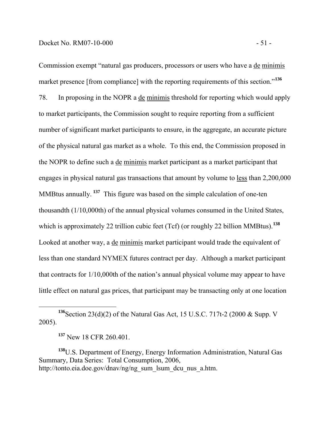Commission exempt "natural gas producers, processors or users who have a de minimis market presence [from compliance] with the reporting requirements of this section.<sup>"136</sup> 78. In proposing in the NOPR a de minimis threshold for reporting which would apply to market participants, the Commission sought to require reporting from a sufficient number of significant market participants to ensure, in the aggregate, an accurate picture of the physical natural gas market as a whole. To this end, the Commission proposed in the NOPR to define such a de minimis market participant as a market participant that engages in physical natural gas transactions that amount by volume to less than 2,200,000 MMBtus annually. **<sup>137</sup>** This figure was based on the simple calculation of one-ten thousandth (1/10,000th) of the annual physical volumes consumed in the United States, which is approximately 22 trillion cubic feet (Tcf) (or roughly 22 billion MMBtus).<sup>138</sup> Looked at another way, a de minimis market participant would trade the equivalent of less than one standard NYMEX futures contract per day. Although a market participant that contracts for 1/10,000th of the nation's annual physical volume may appear to have little effect on natural gas prices, that participant may be transacting only at one location

**<sup>138</sup>**U.S. Department of Energy, Energy Information Administration, Natural Gas Summary*,* Data Series: Total Consumption, 2006, http://tonto.eia.doe.gov/dnav/ng/ng\_sum\_lsum\_dcu\_nus\_a.htm.

**<sup>136</sup>**Section 23(d)(2) of the Natural Gas Act, 15 U.S.C. 717t-2 (2000 & Supp. V 2005).

**<sup>137</sup>** New 18 CFR 260.401.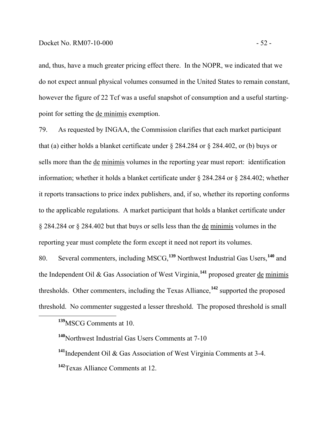and, thus, have a much greater pricing effect there. In the NOPR, we indicated that we do not expect annual physical volumes consumed in the United States to remain constant, however the figure of 22 Tcf was a useful snapshot of consumption and a useful startingpoint for setting the de minimis exemption.

79. As requested by INGAA, the Commission clarifies that each market participant that (a) either holds a blanket certificate under § 284.284 or § 284.402, or (b) buys or sells more than the de minimis volumes in the reporting year must report: identification information; whether it holds a blanket certificate under § 284.284 or § 284.402; whether it reports transactions to price index publishers, and, if so, whether its reporting conforms to the applicable regulations. A market participant that holds a blanket certificate under § 284.284 or § 284.402 but that buys or sells less than the de minimis volumes in the reporting year must complete the form except it need not report its volumes.

80. Several commenters, including MSCG,**<sup>139</sup>** Northwest Industrial Gas Users,**<sup>140</sup>** and the Independent Oil & Gas Association of West Virginia,**<sup>141</sup>** proposed greater de minimis thresholds. Other commenters, including the Texas Alliance,**<sup>142</sup>** supported the proposed threshold. No commenter suggested a lesser threshold. The proposed threshold is small

**<sup>139</sup>**MSCG Comments at 10.

**<sup>140</sup>**Northwest Industrial Gas Users Comments at 7-10

**<sup>141</sup>**Independent Oil & Gas Association of West Virginia Comments at 3-4. **<sup>142</sup>**Texas Alliance Comments at 12.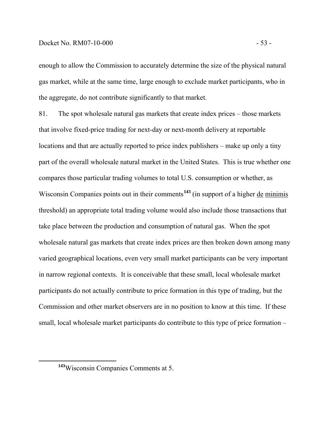### Docket No. RM07-10-000 - 53 -

enough to allow the Commission to accurately determine the size of the physical natural gas market, while at the same time, large enough to exclude market participants, who in the aggregate, do not contribute significantly to that market.

81. The spot wholesale natural gas markets that create index prices – those markets that involve fixed-price trading for next-day or next-month delivery at reportable locations and that are actually reported to price index publishers – make up only a tiny part of the overall wholesale natural market in the United States. This is true whether one compares those particular trading volumes to total U.S. consumption or whether, as Wisconsin Companies points out in their comments<sup>143</sup> (in support of a higher de minimis threshold) an appropriate total trading volume would also include those transactions that take place between the production and consumption of natural gas. When the spot wholesale natural gas markets that create index prices are then broken down among many varied geographical locations, even very small market participants can be very important in narrow regional contexts. It is conceivable that these small, local wholesale market participants do not actually contribute to price formation in this type of trading, but the Commission and other market observers are in no position to know at this time. If these small, local wholesale market participants do contribute to this type of price formation –

**<sup>143</sup>**Wisconsin Companies Comments at 5.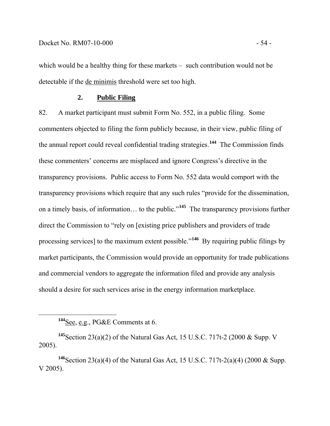which would be a healthy thing for these markets – such contribution would not be detectable if the de minimis threshold were set too high.

## **2. Public Filing**

82. A market participant must submit Form No. 552, in a public filing. Some commenters objected to filing the form publicly because, in their view, public filing of the annual report could reveal confidential trading strategies.**<sup>144</sup>** The Commission finds these commenters' concerns are misplaced and ignore Congress's directive in the transparency provisions. Public access to Form No. 552 data would comport with the transparency provisions which require that any such rules "provide for the dissemination, on a timely basis, of information… to the public."**<sup>145</sup>** The transparency provisions further direct the Commission to "rely on [existing price publishers and providers of trade processing services] to the maximum extent possible."**<sup>146</sup>** By requiring public filings by market participants, the Commission would provide an opportunity for trade publications and commercial vendors to aggregate the information filed and provide any analysis should a desire for such services arise in the energy information marketplace.

**<sup>144</sup>**See, e.g., PG&E Comments at 6.

**<sup>145</sup>**Section 23(a)(2) of the Natural Gas Act, 15 U.S.C. 717t-2 (2000 & Supp. V 2005).

**<sup>146</sup>**Section 23(a)(4) of the Natural Gas Act, 15 U.S.C. 717t-2(a)(4) (2000 & Supp. V 2005).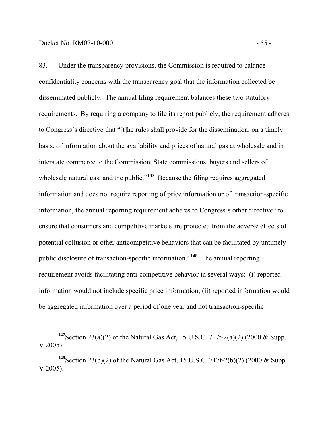83. Under the transparency provisions, the Commission is required to balance confidentiality concerns with the transparency goal that the information collected be disseminated publicly. The annual filing requirement balances these two statutory requirements. By requiring a company to file its report publicly, the requirement adheres to Congress's directive that "[t]he rules shall provide for the dissemination, on a timely basis, of information about the availability and prices of natural gas at wholesale and in interstate commerce to the Commission, State commissions, buyers and sellers of wholesale natural gas, and the public."<sup>147</sup> Because the filing requires aggregated information and does not require reporting of price information or of transaction-specific information, the annual reporting requirement adheres to Congress's other directive "to ensure that consumers and competitive markets are protected from the adverse effects of potential collusion or other anticompetitive behaviors that can be facilitated by untimely public disclosure of transaction-specific information."**<sup>148</sup>** The annual reporting requirement avoids facilitating anti-competitive behavior in several ways: (i) reported information would not include specific price information; (ii) reported information would

be aggregated information over a period of one year and not transaction-specific

**<sup>147</sup>**Section 23(a)(2) of the Natural Gas Act, 15 U.S.C. 717t-2(a)(2) (2000 & Supp. V 2005).

**<sup>148</sup>**Section 23(b)(2) of the Natural Gas Act, 15 U.S.C. 717t-2(b)(2) (2000 & Supp. V 2005).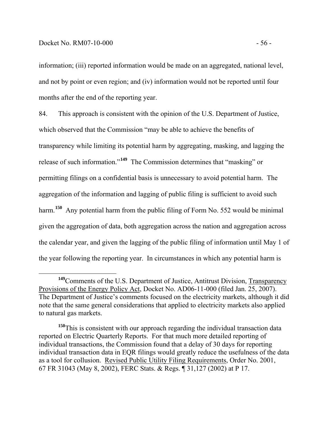information; (iii) reported information would be made on an aggregated, national level, and not by point or even region; and (iv) information would not be reported until four months after the end of the reporting year.

84. This approach is consistent with the opinion of the U.S. Department of Justice, which observed that the Commission "may be able to achieve the benefits of transparency while limiting its potential harm by aggregating, masking, and lagging the release of such information."**<sup>149</sup>** The Commission determines that "masking" or permitting filings on a confidential basis is unnecessary to avoid potential harm. The aggregation of the information and lagging of public filing is sufficient to avoid such harm.**<sup>150</sup>** Any potential harm from the public filing of Form No. 552 would be minimal given the aggregation of data, both aggregation across the nation and aggregation across the calendar year, and given the lagging of the public filing of information until May 1 of the year following the reporting year. In circumstances in which any potential harm is

**<sup>149</sup>**Comments of the U.S. Department of Justice, Antitrust Division, Transparency Provisions of the Energy Policy Act, Docket No. AD06-11-000 (filed Jan. 25, 2007). The Department of Justice's comments focused on the electricity markets, although it did note that the same general considerations that applied to electricity markets also applied to natural gas markets.

**<sup>150</sup>**This is consistent with our approach regarding the individual transaction data reported on Electric Quarterly Reports. For that much more detailed reporting of individual transactions, the Commission found that a delay of 30 days for reporting individual transaction data in EQR filings would greatly reduce the usefulness of the data as a tool for collusion. Revised Public Utility Filing Requirements, Order No. 2001, 67 FR 31043 (May 8, 2002), FERC Stats. & Regs. ¶ 31,127 (2002) at P 17.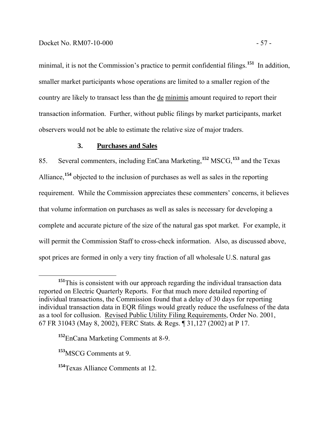minimal, it is not the Commission's practice to permit confidential filings.<sup>151</sup> In addition, smaller market participants whose operations are limited to a smaller region of the country are likely to transact less than the de minimis amount required to report their transaction information. Further, without public filings by market participants, market observers would not be able to estimate the relative size of major traders.

# **3. Purchases and Sales**

85. Several commenters, including EnCana Marketing,**<sup>152</sup>** MSCG,**<sup>153</sup>** and the Texas Alliance,**<sup>154</sup>** objected to the inclusion of purchases as well as sales in the reporting requirement. While the Commission appreciates these commenters' concerns, it believes that volume information on purchases as well as sales is necessary for developing a complete and accurate picture of the size of the natural gas spot market. For example, it will permit the Commission Staff to cross-check information. Also, as discussed above, spot prices are formed in only a very tiny fraction of all wholesale U.S. natural gas

**<sup>151</sup>**This is consistent with our approach regarding the individual transaction data reported on Electric Quarterly Reports. For that much more detailed reporting of individual transactions, the Commission found that a delay of 30 days for reporting individual transaction data in EQR filings would greatly reduce the usefulness of the data as a tool for collusion. Revised Public Utility Filing Requirements, Order No. 2001, 67 FR 31043 (May 8, 2002), FERC Stats. & Regs. ¶ 31,127 (2002) at P 17.

**<sup>152</sup>**EnCana Marketing Comments at 8-9.

**<sup>153</sup>**MSCG Comments at 9.

**<sup>154</sup>**Texas Alliance Comments at 12.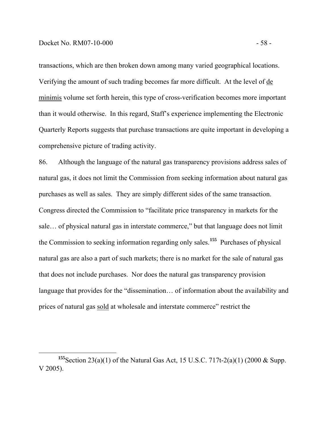transactions, which are then broken down among many varied geographical locations. Verifying the amount of such trading becomes far more difficult. At the level of de minimis volume set forth herein, this type of cross-verification becomes more important than it would otherwise. In this regard, Staff's experience implementing the Electronic Quarterly Reports suggests that purchase transactions are quite important in developing a comprehensive picture of trading activity.

86. Although the language of the natural gas transparency provisions address sales of natural gas, it does not limit the Commission from seeking information about natural gas purchases as well as sales. They are simply different sides of the same transaction. Congress directed the Commission to "facilitate price transparency in markets for the sale… of physical natural gas in interstate commerce," but that language does not limit the Commission to seeking information regarding only sales.**<sup>155</sup>** Purchases of physical natural gas are also a part of such markets; there is no market for the sale of natural gas that does not include purchases. Nor does the natural gas transparency provision language that provides for the "dissemination… of information about the availability and prices of natural gas sold at wholesale and interstate commerce" restrict the

**<sup>155</sup>**Section 23(a)(1) of the Natural Gas Act, 15 U.S.C. 717t-2(a)(1) (2000 & Supp. V 2005).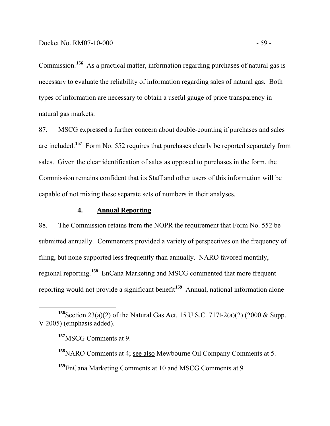Commission.**<sup>156</sup>** As a practical matter, information regarding purchases of natural gas is necessary to evaluate the reliability of information regarding sales of natural gas. Both types of information are necessary to obtain a useful gauge of price transparency in natural gas markets.

87. MSCG expressed a further concern about double-counting if purchases and sales are included.**<sup>157</sup>** Form No. 552 requires that purchases clearly be reported separately from sales. Given the clear identification of sales as opposed to purchases in the form, the Commission remains confident that its Staff and other users of this information will be capable of not mixing these separate sets of numbers in their analyses.

## **4. Annual Reporting**

88. The Commission retains from the NOPR the requirement that Form No. 552 be submitted annually. Commenters provided a variety of perspectives on the frequency of filing, but none supported less frequently than annually. NARO favored monthly, regional reporting.**<sup>158</sup>** EnCana Marketing and MSCG commented that more frequent reporting would not provide a significant benefit**<sup>159</sup>** Annual, national information alone

**<sup>156</sup>**Section 23(a)(2) of the Natural Gas Act, 15 U.S.C. 717t-2(a)(2) (2000 & Supp. V 2005) (emphasis added).

**<sup>157</sup>**MSCG Comments at 9.

**<sup>158</sup>**NARO Comments at 4; see also Mewbourne Oil Company Comments at 5.

**<sup>159</sup>**EnCana Marketing Comments at 10 and MSCG Comments at 9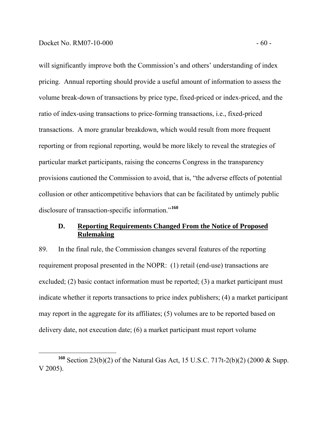will significantly improve both the Commission's and others' understanding of index pricing. Annual reporting should provide a useful amount of information to assess the volume break-down of transactions by price type, fixed-priced or index-priced, and the ratio of index-using transactions to price-forming transactions, i.e., fixed-priced transactions. A more granular breakdown, which would result from more frequent reporting or from regional reporting, would be more likely to reveal the strategies of particular market participants, raising the concerns Congress in the transparency provisions cautioned the Commission to avoid, that is, "the adverse effects of potential collusion or other anticompetitive behaviors that can be facilitated by untimely public disclosure of transaction-specific information."**<sup>160</sup>**

### **D. Reporting Requirements Changed From the Notice of Proposed Rulemaking**

89. In the final rule, the Commission changes several features of the reporting requirement proposal presented in the NOPR: (1) retail (end-use) transactions are excluded; (2) basic contact information must be reported; (3) a market participant must indicate whether it reports transactions to price index publishers; (4) a market participant may report in the aggregate for its affiliates; (5) volumes are to be reported based on delivery date, not execution date; (6) a market participant must report volume

**<sup>160</sup>** Section 23(b)(2) of the Natural Gas Act, 15 U.S.C. 717t-2(b)(2) (2000 & Supp. V 2005).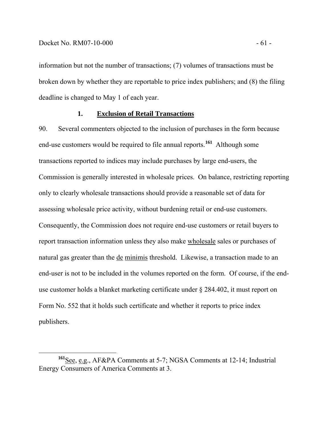information but not the number of transactions; (7) volumes of transactions must be broken down by whether they are reportable to price index publishers; and (8) the filing deadline is changed to May 1 of each year.

#### **1. Exclusion of Retail Transactions**

90. Several commenters objected to the inclusion of purchases in the form because end-use customers would be required to file annual reports.**<sup>161</sup>** Although some transactions reported to indices may include purchases by large end-users, the Commission is generally interested in wholesale prices. On balance, restricting reporting only to clearly wholesale transactions should provide a reasonable set of data for assessing wholesale price activity, without burdening retail or end-use customers. Consequently, the Commission does not require end-use customers or retail buyers to report transaction information unless they also make wholesale sales or purchases of natural gas greater than the de minimis threshold. Likewise, a transaction made to an end-user is not to be included in the volumes reported on the form. Of course, if the enduse customer holds a blanket marketing certificate under § 284.402, it must report on Form No. 552 that it holds such certificate and whether it reports to price index publishers.

**<sup>161</sup>**See, e.g., AF&PA Comments at 5-7; NGSA Comments at 12-14; Industrial Energy Consumers of America Comments at 3.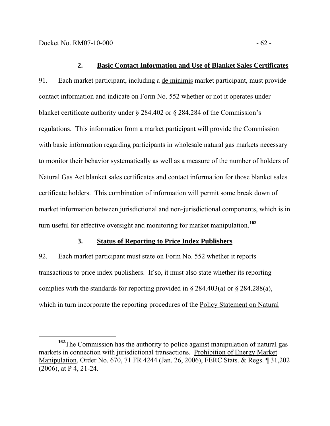#### **2. Basic Contact Information and Use of Blanket Sales Certificates**

91. Each market participant, including a de minimis market participant, must provide contact information and indicate on Form No. 552 whether or not it operates under blanket certificate authority under § 284.402 or § 284.284 of the Commission's regulations. This information from a market participant will provide the Commission with basic information regarding participants in wholesale natural gas markets necessary to monitor their behavior systematically as well as a measure of the number of holders of Natural Gas Act blanket sales certificates and contact information for those blanket sales certificate holders. This combination of information will permit some break down of market information between jurisdictional and non-jurisdictional components, which is in turn useful for effective oversight and monitoring for market manipulation.**<sup>162</sup>**

## **3. Status of Reporting to Price Index Publishers**

92. Each market participant must state on Form No. 552 whether it reports transactions to price index publishers. If so, it must also state whether its reporting complies with the standards for reporting provided in  $\S 284.403(a)$  or  $\S 284.288(a)$ , which in turn incorporate the reporting procedures of the Policy Statement on Natural

<sup>&</sup>lt;sup>162</sup>The Commission has the authority to police against manipulation of natural gas markets in connection with jurisdictional transactions. Prohibition of Energy Market Manipulation, Order No. 670, 71 FR 4244 (Jan. 26, 2006), FERC Stats. & Regs. ¶ 31,202 (2006), at P 4, 21-24.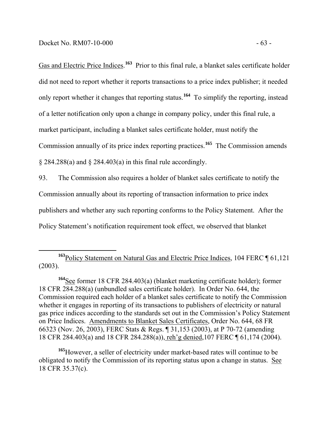Gas and Electric Price Indices.<sup>163</sup> Prior to this final rule, a blanket sales certificate holder did not need to report whether it reports transactions to a price index publisher; it needed only report whether it changes that reporting status.**<sup>164</sup>** To simplify the reporting, instead of a letter notification only upon a change in company policy, under this final rule, a market participant, including a blanket sales certificate holder, must notify the Commission annually of its price index reporting practices.**<sup>165</sup>** The Commission amends § 284.288(a) and § 284.403(a) in this final rule accordingly.

93. The Commission also requires a holder of blanket sales certificate to notify the Commission annually about its reporting of transaction information to price index publishers and whether any such reporting conforms to the Policy Statement. After the Policy Statement's notification requirement took effect, we observed that blanket

**<sup>163</sup>**Policy Statement on Natural Gas and Electric Price Indices, 104 FERC ¶ 61,121 (2003).

**<sup>164</sup>**See former 18 CFR 284.403(a) (blanket marketing certificate holder); former 18 CFR 284.288(a) (unbundled sales certificate holder). In Order No. 644, the Commission required each holder of a blanket sales certificate to notify the Commission whether it engages in reporting of its transactions to publishers of electricity or natural gas price indices according to the standards set out in the Commission's Policy Statement on Price Indices. Amendments to Blanket Sales Certificates, Order No. 644, 68 FR 66323 (Nov. 26, 2003), FERC Stats & Regs. ¶ 31,153 (2003), at P 70-72 (amending 18 CFR 284.403(a) and 18 CFR 284.288(a)), reh'g denied,107 FERC ¶ 61,174 (2004).

**<sup>165</sup>**However, a seller of electricity under market-based rates will continue to be obligated to notify the Commission of its reporting status upon a change in status. See 18 CFR 35.37(c).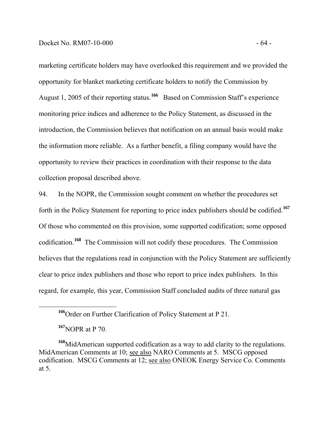marketing certificate holders may have overlooked this requirement and we provided the opportunity for blanket marketing certificate holders to notify the Commission by August 1, 2005 of their reporting status.**166** Based on Commission Staff's experience monitoring price indices and adherence to the Policy Statement, as discussed in the introduction, the Commission believes that notification on an annual basis would make the information more reliable. As a further benefit, a filing company would have the opportunity to review their practices in coordination with their response to the data collection proposal described above.

94. In the NOPR, the Commission sought comment on whether the procedures set forth in the Policy Statement for reporting to price index publishers should be codified.**<sup>167</sup>** Of those who commented on this provision, some supported codification; some opposed codification.**<sup>168</sup>** The Commission will not codify these procedures. The Commission believes that the regulations read in conjunction with the Policy Statement are sufficiently clear to price index publishers and those who report to price index publishers. In this regard, for example, this year, Commission Staff concluded audits of three natural gas

**<sup>166</sup>**Order on Further Clarification of Policy Statement at P 21.

**<sup>167</sup>**NOPR at P 70.

**<sup>168</sup>**MidAmerican supported codification as a way to add clarity to the regulations. MidAmerican Comments at 10; see also NARO Comments at 5. MSCG opposed codification. MSCG Comments at 12; see also ONEOK Energy Service Co. Comments at 5.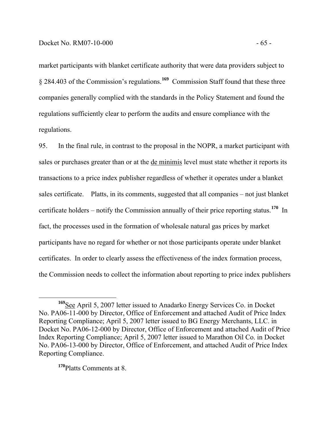market participants with blanket certificate authority that were data providers subject to § 284.403 of the Commission's regulations.**<sup>169</sup>** Commission Staff found that these three companies generally complied with the standards in the Policy Statement and found the regulations sufficiently clear to perform the audits and ensure compliance with the regulations.

95. In the final rule, in contrast to the proposal in the NOPR, a market participant with sales or purchases greater than or at the de minimis level must state whether it reports its transactions to a price index publisher regardless of whether it operates under a blanket sales certificate. Platts, in its comments, suggested that all companies – not just blanket certificate holders – notify the Commission annually of their price reporting status.**<sup>170</sup>** In fact, the processes used in the formation of wholesale natural gas prices by market participants have no regard for whether or not those participants operate under blanket certificates. In order to clearly assess the effectiveness of the index formation process, the Commission needs to collect the information about reporting to price index publishers

**<sup>170</sup>**Platts Comments at 8.

**<sup>169</sup>**See April 5, 2007 letter issued to Anadarko Energy Services Co. in Docket No. PA06-11-000 by Director, Office of Enforcement and attached Audit of Price Index Reporting Compliance; April 5, 2007 letter issued to BG Energy Merchants, LLC. in Docket No. PA06-12-000 by Director, Office of Enforcement and attached Audit of Price Index Reporting Compliance; April 5, 2007 letter issued to Marathon Oil Co. in Docket No. PA06-13-000 by Director, Office of Enforcement, and attached Audit of Price Index Reporting Compliance.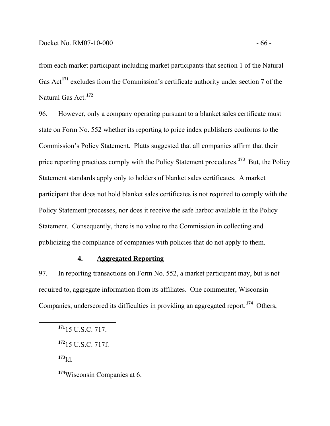from each market participant including market participants that section 1 of the Natural Gas Act<sup>171</sup> excludes from the Commission's certificate authority under section 7 of the Natural Gas Act.**<sup>172</sup>**

96. However, only a company operating pursuant to a blanket sales certificate must state on Form No. 552 whether its reporting to price index publishers conforms to the Commission's Policy Statement. Platts suggested that all companies affirm that their price reporting practices comply with the Policy Statement procedures.**<sup>173</sup>** But, the Policy Statement standards apply only to holders of blanket sales certificates. A market participant that does not hold blanket sales certificates is not required to comply with the Policy Statement processes, nor does it receive the safe harbor available in the Policy Statement. Consequently, there is no value to the Commission in collecting and publicizing the compliance of companies with policies that do not apply to them.

## **4. Aggregated Reporting**

97. In reporting transactions on Form No. 552, a market participant may, but is not required to, aggregate information from its affiliates. One commenter, Wisconsin Companies, underscored its difficulties in providing an aggregated report.**<sup>174</sup>** Others,

**<sup>173</sup>**Id.

**<sup>174</sup>**Wisconsin Companies at 6.

**<sup>171</sup>**15 U.S.C. 717.

**<sup>172</sup>**15 U.S.C. 717f.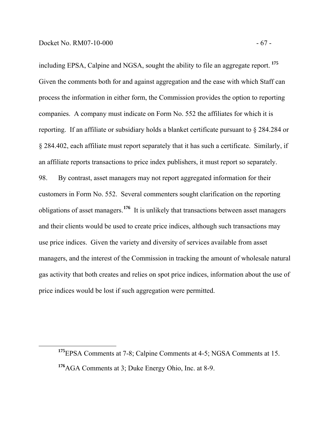including EPSA, Calpine and NGSA, sought the ability to file an aggregate report. **<sup>175</sup>** Given the comments both for and against aggregation and the ease with which Staff can process the information in either form, the Commission provides the option to reporting companies. A company must indicate on Form No. 552 the affiliates for which it is reporting. If an affiliate or subsidiary holds a blanket certificate pursuant to § 284.284 or § 284.402, each affiliate must report separately that it has such a certificate. Similarly, if an affiliate reports transactions to price index publishers, it must report so separately. 98. By contrast, asset managers may not report aggregated information for their customers in Form No. 552. Several commenters sought clarification on the reporting obligations of asset managers.**<sup>176</sup>** It is unlikely that transactions between asset managers and their clients would be used to create price indices, although such transactions may use price indices. Given the variety and diversity of services available from asset managers, and the interest of the Commission in tracking the amount of wholesale natural gas activity that both creates and relies on spot price indices, information about the use of price indices would be lost if such aggregation were permitted.

**<sup>175</sup>**EPSA Comments at 7-8; Calpine Comments at 4-5; NGSA Comments at 15. **<sup>176</sup>**AGA Comments at 3; Duke Energy Ohio, Inc. at 8-9.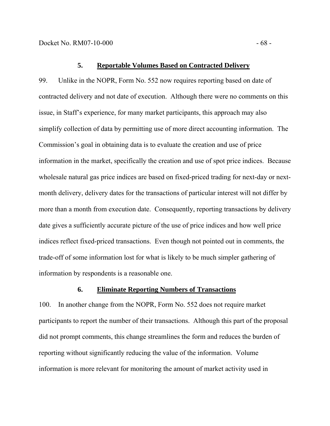#### **5. Reportable Volumes Based on Contracted Delivery**

99. Unlike in the NOPR, Form No. 552 now requires reporting based on date of contracted delivery and not date of execution. Although there were no comments on this issue, in Staff's experience, for many market participants, this approach may also simplify collection of data by permitting use of more direct accounting information. The Commission's goal in obtaining data is to evaluate the creation and use of price information in the market, specifically the creation and use of spot price indices. Because wholesale natural gas price indices are based on fixed-priced trading for next-day or nextmonth delivery, delivery dates for the transactions of particular interest will not differ by more than a month from execution date. Consequently, reporting transactions by delivery date gives a sufficiently accurate picture of the use of price indices and how well price indices reflect fixed-priced transactions. Even though not pointed out in comments, the trade-off of some information lost for what is likely to be much simpler gathering of information by respondents is a reasonable one.

## **6. Eliminate Reporting Numbers of Transactions**

100. In another change from the NOPR, Form No. 552 does not require market participants to report the number of their transactions. Although this part of the proposal did not prompt comments, this change streamlines the form and reduces the burden of reporting without significantly reducing the value of the information. Volume information is more relevant for monitoring the amount of market activity used in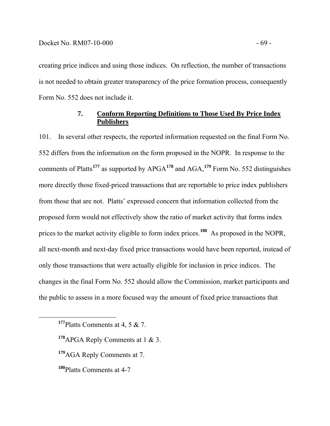creating price indices and using those indices. On reflection, the number of transactions is not needed to obtain greater transparency of the price formation process, consequently Form No. 552 does not include it.

# **7. Conform Reporting Definitions to Those Used By Price Index Publishers**

101. In several other respects, the reported information requested on the final Form No. 552 differs from the information on the form proposed in the NOPR. In response to the comments of Platts**<sup>177</sup>** as supported by APGA**<sup>178</sup>** and AGA,**<sup>179</sup>** Form No. 552 distinguishes more directly those fixed-priced transactions that are reportable to price index publishers from those that are not. Platts' expressed concern that information collected from the proposed form would not effectively show the ratio of market activity that forms index prices to the market activity eligible to form index prices.**<sup>180</sup>** As proposed in the NOPR, all next-month and next-day fixed price transactions would have been reported, instead of only those transactions that were actually eligible for inclusion in price indices. The changes in the final Form No. 552 should allow the Commission, market participants and the public to assess in a more focused way the amount of fixed price transactions that

**<sup>177</sup>**Platts Comments at 4, 5 & 7.

**<sup>178</sup>**APGA Reply Comments at 1 & 3.

**<sup>179</sup>**AGA Reply Comments at 7.

**<sup>180</sup>**Platts Comments at 4-7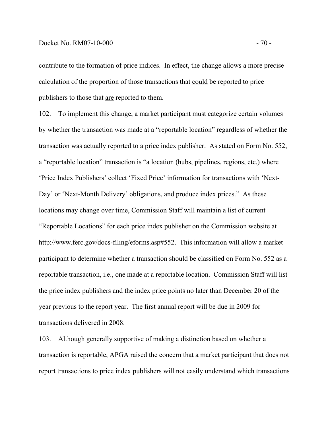#### Docket No. RM07-10-000 - 70 -

contribute to the formation of price indices. In effect, the change allows a more precise calculation of the proportion of those transactions that could be reported to price publishers to those that are reported to them.

102. To implement this change, a market participant must categorize certain volumes by whether the transaction was made at a "reportable location" regardless of whether the transaction was actually reported to a price index publisher. As stated on Form No. 552, a "reportable location" transaction is "a location (hubs, pipelines, regions, etc.) where 'Price Index Publishers' collect 'Fixed Price' information for transactions with 'Next-Day' or 'Next-Month Delivery' obligations, and produce index prices." As these locations may change over time, Commission Staff will maintain a list of current "Reportable Locations" for each price index publisher on the Commission website at http://www.ferc.gov/docs-filing/eforms.asp#552. This information will allow a market participant to determine whether a transaction should be classified on Form No. 552 as a reportable transaction, i.e., one made at a reportable location. Commission Staff will list the price index publishers and the index price points no later than December 20 of the year previous to the report year. The first annual report will be due in 2009 for transactions delivered in 2008.

103. Although generally supportive of making a distinction based on whether a transaction is reportable, APGA raised the concern that a market participant that does not report transactions to price index publishers will not easily understand which transactions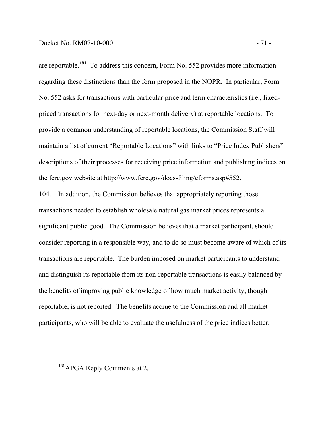are reportable.**<sup>181</sup>** To address this concern, Form No. 552 provides more information regarding these distinctions than the form proposed in the NOPR. In particular, Form No. 552 asks for transactions with particular price and term characteristics (i.e., fixedpriced transactions for next-day or next-month delivery) at reportable locations. To provide a common understanding of reportable locations, the Commission Staff will maintain a list of current "Reportable Locations" with links to "Price Index Publishers" descriptions of their processes for receiving price information and publishing indices on the ferc.gov website at http://www.ferc.gov/docs-filing/eforms.asp#552.

104. In addition, the Commission believes that appropriately reporting those transactions needed to establish wholesale natural gas market prices represents a significant public good. The Commission believes that a market participant, should consider reporting in a responsible way, and to do so must become aware of which of its transactions are reportable. The burden imposed on market participants to understand and distinguish its reportable from its non-reportable transactions is easily balanced by the benefits of improving public knowledge of how much market activity, though reportable, is not reported. The benefits accrue to the Commission and all market participants, who will be able to evaluate the usefulness of the price indices better.

**<sup>181</sup>**APGA Reply Comments at 2.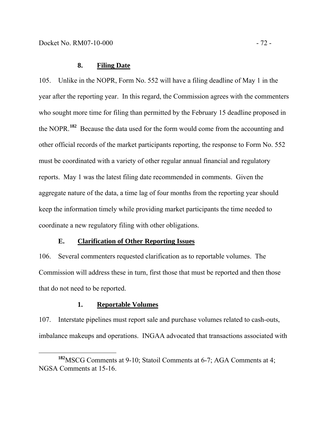# **8. Filing Date**

105. Unlike in the NOPR, Form No. 552 will have a filing deadline of May 1 in the year after the reporting year. In this regard, the Commission agrees with the commenters who sought more time for filing than permitted by the February 15 deadline proposed in the NOPR.**<sup>182</sup>** Because the data used for the form would come from the accounting and other official records of the market participants reporting, the response to Form No. 552 must be coordinated with a variety of other regular annual financial and regulatory reports. May 1 was the latest filing date recommended in comments. Given the aggregate nature of the data, a time lag of four months from the reporting year should keep the information timely while providing market participants the time needed to coordinate a new regulatory filing with other obligations.

# **E. Clarification of Other Reporting Issues**

106. Several commenters requested clarification as to reportable volumes. The Commission will address these in turn, first those that must be reported and then those that do not need to be reported.

## **1. Reportable Volumes**

107. Interstate pipelines must report sale and purchase volumes related to cash-outs, imbalance makeups and operations. INGAA advocated that transactions associated with

**<sup>182</sup>**MSCG Comments at 9-10; Statoil Comments at 6-7; AGA Comments at 4; NGSA Comments at 15-16.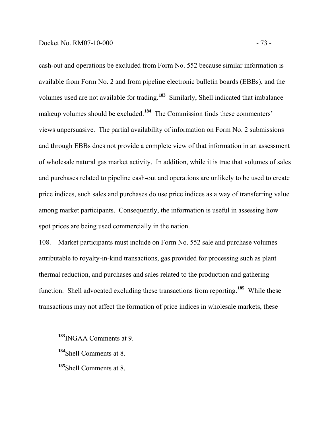cash-out and operations be excluded from Form No. 552 because similar information is available from Form No. 2 and from pipeline electronic bulletin boards (EBBs), and the volumes used are not available for trading.**<sup>183</sup>** Similarly, Shell indicated that imbalance makeup volumes should be excluded.**<sup>184</sup>** The Commission finds these commenters' views unpersuasive. The partial availability of information on Form No. 2 submissions and through EBBs does not provide a complete view of that information in an assessment of wholesale natural gas market activity. In addition, while it is true that volumes of sales and purchases related to pipeline cash-out and operations are unlikely to be used to create price indices, such sales and purchases do use price indices as a way of transferring value among market participants. Consequently, the information is useful in assessing how spot prices are being used commercially in the nation.

108. Market participants must include on Form No. 552 sale and purchase volumes attributable to royalty-in-kind transactions, gas provided for processing such as plant thermal reduction, and purchases and sales related to the production and gathering function. Shell advocated excluding these transactions from reporting.**<sup>185</sup>** While these transactions may not affect the formation of price indices in wholesale markets, these

**<sup>183</sup>**INGAA Comments at 9.

**<sup>184</sup>**Shell Comments at 8.

**<sup>185</sup>**Shell Comments at 8.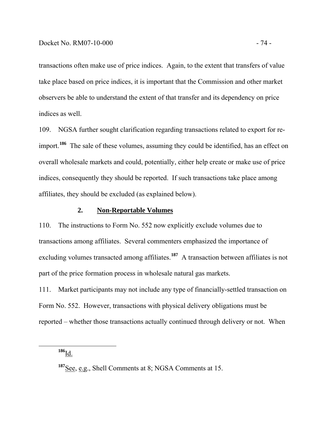transactions often make use of price indices. Again, to the extent that transfers of value take place based on price indices, it is important that the Commission and other market observers be able to understand the extent of that transfer and its dependency on price indices as well.

109. NGSA further sought clarification regarding transactions related to export for reimport.**<sup>186</sup>** The sale of these volumes, assuming they could be identified, has an effect on overall wholesale markets and could, potentially, either help create or make use of price indices, consequently they should be reported. If such transactions take place among affiliates, they should be excluded (as explained below).

## **2. Non-Reportable Volumes**

110. The instructions to Form No. 552 now explicitly exclude volumes due to transactions among affiliates. Several commenters emphasized the importance of excluding volumes transacted among affiliates.<sup>187</sup> A transaction between affiliates is not part of the price formation process in wholesale natural gas markets.

111. Market participants may not include any type of financially-settled transaction on Form No. 552. However, transactions with physical delivery obligations must be reported – whether those transactions actually continued through delivery or not. When

**<sup>186</sup>**Id.

**<sup>187</sup>**See, e.g., Shell Comments at 8; NGSA Comments at 15.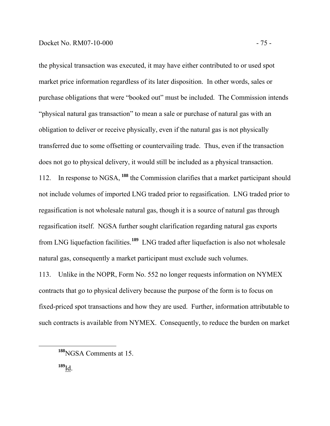the physical transaction was executed, it may have either contributed to or used spot market price information regardless of its later disposition. In other words, sales or purchase obligations that were "booked out" must be included. The Commission intends "physical natural gas transaction" to mean a sale or purchase of natural gas with an obligation to deliver or receive physically, even if the natural gas is not physically transferred due to some offsetting or countervailing trade. Thus, even if the transaction does not go to physical delivery, it would still be included as a physical transaction. 112. In response to NGSA, **<sup>188</sup>** the Commission clarifies that a market participant should not include volumes of imported LNG traded prior to regasification. LNG traded prior to regasification is not wholesale natural gas, though it is a source of natural gas through regasification itself. NGSA further sought clarification regarding natural gas exports from LNG liquefaction facilities.**<sup>189</sup>** LNG traded after liquefaction is also not wholesale natural gas, consequently a market participant must exclude such volumes.

113. Unlike in the NOPR, Form No. 552 no longer requests information on NYMEX contracts that go to physical delivery because the purpose of the form is to focus on fixed-priced spot transactions and how they are used. Further, information attributable to such contracts is available from NYMEX. Consequently, to reduce the burden on market

**<sup>189</sup>**Id.

**<sup>188</sup>**NGSA Comments at 15.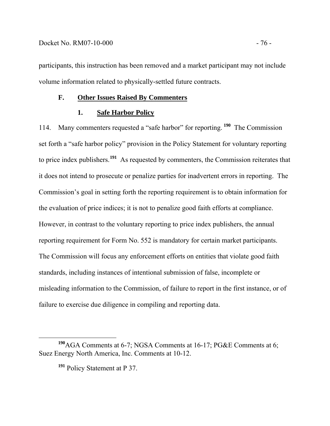participants, this instruction has been removed and a market participant may not include volume information related to physically-settled future contracts.

# **F. Other Issues Raised By Commenters**

# **1. Safe Harbor Policy**

114. Many commenters requested a "safe harbor" for reporting. **<sup>190</sup>** The Commission set forth a "safe harbor policy" provision in the Policy Statement for voluntary reporting to price index publishers.**<sup>191</sup>** As requested by commenters, the Commission reiterates that it does not intend to prosecute or penalize parties for inadvertent errors in reporting. The Commission's goal in setting forth the reporting requirement is to obtain information for the evaluation of price indices; it is not to penalize good faith efforts at compliance. However, in contrast to the voluntary reporting to price index publishers, the annual reporting requirement for Form No. 552 is mandatory for certain market participants. The Commission will focus any enforcement efforts on entities that violate good faith standards, including instances of intentional submission of false, incomplete or misleading information to the Commission, of failure to report in the first instance, or of failure to exercise due diligence in compiling and reporting data.

**<sup>190</sup>**AGA Comments at 6-7; NGSA Comments at 16-17; PG&E Comments at 6; Suez Energy North America, Inc. Comments at 10-12.

**<sup>191</sup>** Policy Statement at P 37.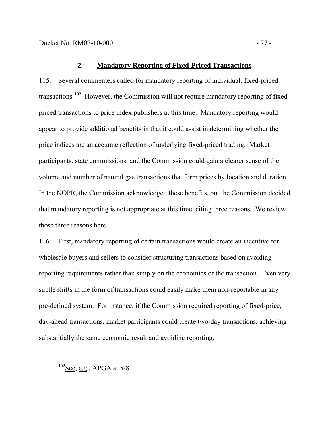## **2. Mandatory Reporting of Fixed-Priced Transactions**

115. Several commenters called for mandatory reporting of individual, fixed-priced transactions.**<sup>192</sup>** However, the Commission will not require mandatory reporting of fixedpriced transactions to price index publishers at this time. Mandatory reporting would appear to provide additional benefits in that it could assist in determining whether the price indices are an accurate reflection of underlying fixed-priced trading. Market participants, state commissions, and the Commission could gain a clearer sense of the volume and number of natural gas transactions that form prices by location and duration. In the NOPR, the Commission acknowledged these benefits, but the Commission decided that mandatory reporting is not appropriate at this time, citing three reasons. We review those three reasons here.

116. First, mandatory reporting of certain transactions would create an incentive for wholesale buyers and sellers to consider structuring transactions based on avoiding reporting requirements rather than simply on the economics of the transaction. Even very subtle shifts in the form of transactions could easily make them non-reportable in any pre-defined system. For instance, if the Commission required reporting of fixed-price, day-ahead transactions, market participants could create two-day transactions, achieving substantially the same economic result and avoiding reporting.

**<sup>192</sup>**See, e.g., APGA at 5-8.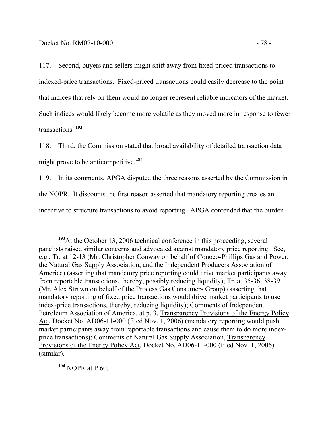117. Second, buyers and sellers might shift away from fixed-priced transactions to indexed-price transactions. Fixed-priced transactions could easily decrease to the point that indices that rely on them would no longer represent reliable indicators of the market. Such indices would likely become more volatile as they moved more in response to fewer transactions. **<sup>193</sup>**

118. Third, the Commission stated that broad availability of detailed transaction data might prove to be anticompetitive.**<sup>194</sup>**

119. In its comments, APGA disputed the three reasons asserted by the Commission in the NOPR. It discounts the first reason asserted that mandatory reporting creates an incentive to structure transactions to avoid reporting. APGA contended that the burden

**<sup>194</sup>** NOPR at P 60.

**<sup>193</sup>**At the October 13, 2006 technical conference in this proceeding, several panelists raised similar concerns and advocated against mandatory price reporting. See, e.g., Tr. at 12-13 (Mr. Christopher Conway on behalf of Conoco-Phillips Gas and Power, the Natural Gas Supply Association, and the Independent Producers Association of America) (asserting that mandatory price reporting could drive market participants away from reportable transactions, thereby, possibly reducing liquidity); Tr. at 35-36, 38-39 (Mr. Alex Strawn on behalf of the Process Gas Consumers Group) (asserting that mandatory reporting of fixed price transactions would drive market participants to use index-price transactions, thereby, reducing liquidity); Comments of Independent Petroleum Association of America, at p. 3, Transparency Provisions of the Energy Policy Act, Docket No. AD06-11-000 (filed Nov. 1, 2006) (mandatory reporting would push market participants away from reportable transactions and cause them to do more indexprice transactions); Comments of Natural Gas Supply Association, Transparency Provisions of the Energy Policy Act, Docket No. AD06-11-000 (filed Nov. 1, 2006) (similar).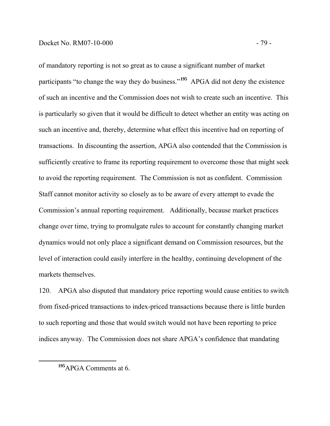of mandatory reporting is not so great as to cause a significant number of market participants "to change the way they do business."**<sup>195</sup>** APGA did not deny the existence of such an incentive and the Commission does not wish to create such an incentive. This is particularly so given that it would be difficult to detect whether an entity was acting on such an incentive and, thereby, determine what effect this incentive had on reporting of transactions. In discounting the assertion, APGA also contended that the Commission is sufficiently creative to frame its reporting requirement to overcome those that might seek to avoid the reporting requirement. The Commission is not as confident. Commission Staff cannot monitor activity so closely as to be aware of every attempt to evade the Commission's annual reporting requirement. Additionally, because market practices change over time, trying to promulgate rules to account for constantly changing market dynamics would not only place a significant demand on Commission resources, but the level of interaction could easily interfere in the healthy, continuing development of the markets themselves.

120. APGA also disputed that mandatory price reporting would cause entities to switch from fixed-priced transactions to index-priced transactions because there is little burden to such reporting and those that would switch would not have been reporting to price indices anyway. The Commission does not share APGA's confidence that mandating

**<sup>195</sup>**APGA Comments at 6.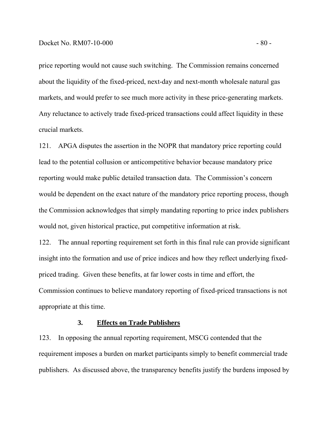price reporting would not cause such switching. The Commission remains concerned about the liquidity of the fixed-priced, next-day and next-month wholesale natural gas markets, and would prefer to see much more activity in these price-generating markets. Any reluctance to actively trade fixed-priced transactions could affect liquidity in these crucial markets.

121. APGA disputes the assertion in the NOPR that mandatory price reporting could lead to the potential collusion or anticompetitive behavior because mandatory price reporting would make public detailed transaction data. The Commission's concern would be dependent on the exact nature of the mandatory price reporting process, though the Commission acknowledges that simply mandating reporting to price index publishers would not, given historical practice, put competitive information at risk.

122. The annual reporting requirement set forth in this final rule can provide significant insight into the formation and use of price indices and how they reflect underlying fixedpriced trading. Given these benefits, at far lower costs in time and effort, the Commission continues to believe mandatory reporting of fixed-priced transactions is not appropriate at this time.

# **3. Effects on Trade Publishers**

123. In opposing the annual reporting requirement, MSCG contended that the requirement imposes a burden on market participants simply to benefit commercial trade publishers. As discussed above, the transparency benefits justify the burdens imposed by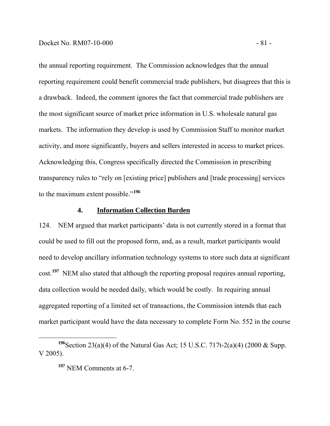the annual reporting requirement. The Commission acknowledges that the annual reporting requirement could benefit commercial trade publishers, but disagrees that this is a drawback. Indeed, the comment ignores the fact that commercial trade publishers are the most significant source of market price information in U.S. wholesale natural gas markets. The information they develop is used by Commission Staff to monitor market activity, and more significantly, buyers and sellers interested in access to market prices. Acknowledging this, Congress specifically directed the Commission in prescribing transparency rules to "rely on [existing price] publishers and [trade processing] services to the maximum extent possible."**<sup>196</sup>**

# **4. Information Collection Burden**

124. NEM argued that market participants' data is not currently stored in a format that could be used to fill out the proposed form, and, as a result, market participants would need to develop ancillary information technology systems to store such data at significant cost.**<sup>197</sup>** NEM also stated that although the reporting proposal requires annual reporting, data collection would be needed daily, which would be costly. In requiring annual aggregated reporting of a limited set of transactions, the Commission intends that each market participant would have the data necessary to complete Form No. 552 in the course

**<sup>196</sup>**Section 23(a)(4) of the Natural Gas Act; 15 U.S.C. 717t-2(a)(4) (2000 & Supp. V 2005).

**<sup>197</sup>** NEM Comments at 6-7.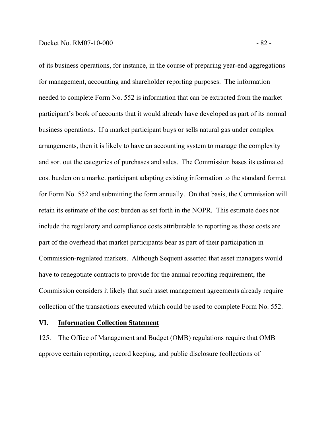of its business operations, for instance, in the course of preparing year-end aggregations for management, accounting and shareholder reporting purposes. The information needed to complete Form No. 552 is information that can be extracted from the market participant's book of accounts that it would already have developed as part of its normal business operations. If a market participant buys or sells natural gas under complex arrangements, then it is likely to have an accounting system to manage the complexity and sort out the categories of purchases and sales. The Commission bases its estimated cost burden on a market participant adapting existing information to the standard format for Form No. 552 and submitting the form annually. On that basis, the Commission will retain its estimate of the cost burden as set forth in the NOPR. This estimate does not include the regulatory and compliance costs attributable to reporting as those costs are part of the overhead that market participants bear as part of their participation in Commission-regulated markets. Although Sequent asserted that asset managers would have to renegotiate contracts to provide for the annual reporting requirement, the Commission considers it likely that such asset management agreements already require collection of the transactions executed which could be used to complete Form No. 552.

## **VI. Information Collection Statement**

125. The Office of Management and Budget (OMB) regulations require that OMB approve certain reporting, record keeping, and public disclosure (collections of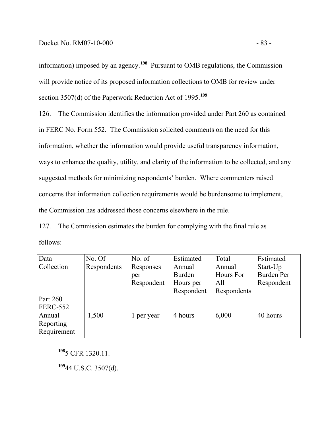information) imposed by an agency.**198** Pursuant to OMB regulations, the Commission will provide notice of its proposed information collections to OMB for review under section 3507(d) of the Paperwork Reduction Act of 1995.<sup>199</sup>

126. The Commission identifies the information provided under Part 260 as contained in FERC No. Form 552. The Commission solicited comments on the need for this information, whether the information would provide useful transparency information, ways to enhance the quality, utility, and clarity of the information to be collected, and any suggested methods for minimizing respondents' burden. Where commenters raised concerns that information collection requirements would be burdensome to implement, the Commission has addressed those concerns elsewhere in the rule.

127. The Commission estimates the burden for complying with the final rule as follows:

| Data            | No. Of      | No. $of$   | Estimated  | Total       | Estimated         |
|-----------------|-------------|------------|------------|-------------|-------------------|
| Collection      | Respondents | Responses  | Annual     | Annual      | Start-Up          |
|                 |             | per        | Burden     | Hours For   | <b>Burden Per</b> |
|                 |             | Respondent | Hours per  | All         | Respondent        |
|                 |             |            | Respondent | Respondents |                   |
| Part 260        |             |            |            |             |                   |
| <b>FERC-552</b> |             |            |            |             |                   |
| Annual          | 1,500       | 1 per year | 4 hours    | 6,000       | 40 hours          |
| Reporting       |             |            |            |             |                   |
| Requirement     |             |            |            |             |                   |

**<sup>198</sup>**5 CFR 1320.11.

**<sup>199</sup>**44 U.S.C. 3507(d).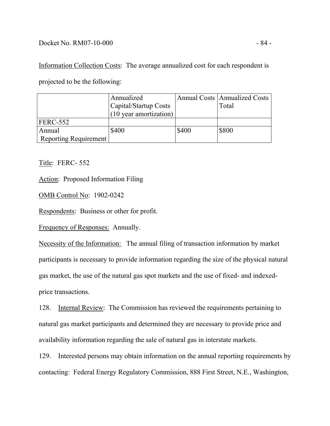# Docket No. RM07-10-000 - 84 -

Information Collection Costs: The average annualized cost for each respondent is projected to be the following:

|                       | Annualized             |       | <b>Annual Costs   Annualized Costs</b> |
|-----------------------|------------------------|-------|----------------------------------------|
|                       | Capital/Startup Costs  |       | Total                                  |
|                       | (10 year amortization) |       |                                        |
| FERC-552              |                        |       |                                        |
| Annual                | \$400                  | \$400 | \$800                                  |
| Reporting Requirement |                        |       |                                        |

Title: FERC- 552

Action: Proposed Information Filing

OMB Control No: 1902-0242

Respondents:Business or other for profit.

Frequency of Responses:Annually.

Necessity of the Information: The annual filing of transaction information by market participants is necessary to provide information regarding the size of the physical natural gas market, the use of the natural gas spot markets and the use of fixed- and indexedprice transactions.

128. Internal Review: The Commission has reviewed the requirements pertaining to natural gas market participants and determined they are necessary to provide price and availability information regarding the sale of natural gas in interstate markets.

129. Interested persons may obtain information on the annual reporting requirements by contacting: Federal Energy Regulatory Commission, 888 First Street, N.E., Washington,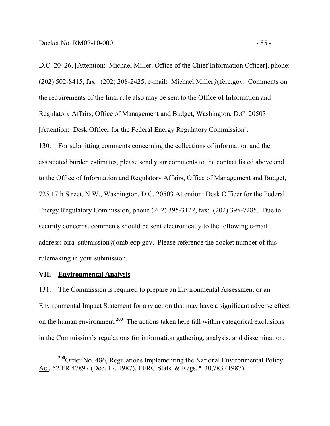D.C. 20426, [Attention: Michael Miller, Office of the Chief Information Officer], phone: (202) 502-8415, fax: (202) 208-2425, e-mail: Michael.Miller@ferc.gov. Comments on the requirements of the final rule also may be sent to the Office of Information and Regulatory Affairs, Office of Management and Budget, Washington, D.C. 20503 [Attention: Desk Officer for the Federal Energy Regulatory Commission].

130. For submitting comments concerning the collections of information and the associated burden estimates, please send your comments to the contact listed above and to the Office of Information and Regulatory Affairs, Office of Management and Budget, 725 17th Street, N.W., Washington, D.C. 20503 Attention: Desk Officer for the Federal Energy Regulatory Commission, phone (202) 395-3122, fax: (202) 395-7285. Due to security concerns, comments should be sent electronically to the following e-mail address: oira\_submission@omb.eop.gov. Please reference the docket number of this rulemaking in your submission.

## **VII. Environmental Analysis**

131. The Commission is required to prepare an Environmental Assessment or an Environmental Impact Statement for any action that may have a significant adverse effect on the human environment.**<sup>200</sup>** The actions taken here fall within categorical exclusions in the Commission's regulations for information gathering, analysis, and dissemination,

<sup>&</sup>lt;sup>200</sup>Order No. 486, Regulations Implementing the National Environmental Policy Act, 52 FR 47897 (Dec. 17, 1987), FERC Stats. & Regs, ¶ 30,783 (1987).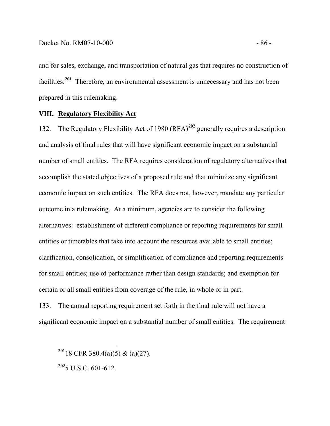and for sales, exchange, and transportation of natural gas that requires no construction of facilities.**<sup>201</sup>** Therefore, an environmental assessment is unnecessary and has not been prepared in this rulemaking.

# **VIII. Regulatory Flexibility Act**

132. The Regulatory Flexibility Act of 1980 (RFA)**<sup>202</sup>** generally requires a description and analysis of final rules that will have significant economic impact on a substantial number of small entities. The RFA requires consideration of regulatory alternatives that accomplish the stated objectives of a proposed rule and that minimize any significant economic impact on such entities. The RFA does not, however, mandate any particular outcome in a rulemaking. At a minimum, agencies are to consider the following alternatives: establishment of different compliance or reporting requirements for small entities or timetables that take into account the resources available to small entities; clarification, consolidation, or simplification of compliance and reporting requirements for small entities; use of performance rather than design standards; and exemption for certain or all small entities from coverage of the rule, in whole or in part.

133. The annual reporting requirement set forth in the final rule will not have a significant economic impact on a substantial number of small entities. The requirement

**<sup>202</sup>**5 U.S.C. 601-612.

**<sup>201</sup>**18 CFR 380.4(a)(5) & (a)(27).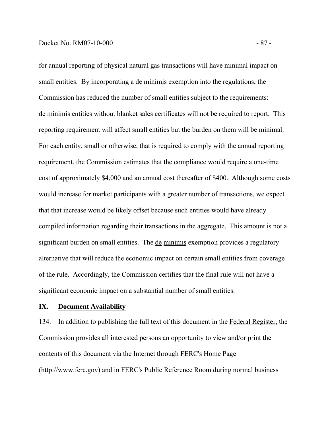for annual reporting of physical natural gas transactions will have minimal impact on small entities. By incorporating a de minimis exemption into the regulations, the Commission has reduced the number of small entities subject to the requirements: de minimis entities without blanket sales certificates will not be required to report. This reporting requirement will affect small entities but the burden on them will be minimal. For each entity, small or otherwise, that is required to comply with the annual reporting requirement, the Commission estimates that the compliance would require a one-time cost of approximately \$4,000 and an annual cost thereafter of \$400. Although some costs would increase for market participants with a greater number of transactions, we expect that that increase would be likely offset because such entities would have already compiled information regarding their transactions in the aggregate. This amount is not a significant burden on small entities. The de minimis exemption provides a regulatory alternative that will reduce the economic impact on certain small entities from coverage of the rule. Accordingly, the Commission certifies that the final rule will not have a significant economic impact on a substantial number of small entities.

## **IX. Document Availability**

134. In addition to publishing the full text of this document in the Federal Register, the Commission provides all interested persons an opportunity to view and/or print the contents of this document via the Internet through FERC's Home Page (http://www.ferc.gov) and in FERC's Public Reference Room during normal business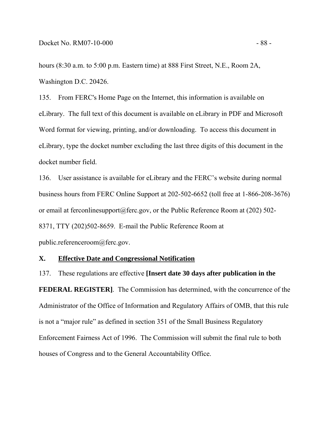hours (8:30 a.m. to 5:00 p.m. Eastern time) at 888 First Street, N.E., Room 2A, Washington D.C. 20426.

135. From FERC's Home Page on the Internet, this information is available on eLibrary. The full text of this document is available on eLibrary in PDF and Microsoft Word format for viewing, printing, and/or downloading. To access this document in eLibrary, type the docket number excluding the last three digits of this document in the docket number field.

136. User assistance is available for eLibrary and the FERC's website during normal business hours from FERC Online Support at 202-502-6652 (toll free at 1-866-208-3676) or email at ferconlinesupport@ferc.gov, or the Public Reference Room at (202) 502-8371, TTY (202)502-8659. E-mail the Public Reference Room at public.referenceroom@ferc.gov.

# **X. Effective Date and Congressional Notification**

137. These regulations are effective **[Insert date 30 days after publication in the FEDERAL REGISTER]**. The Commission has determined, with the concurrence of the Administrator of the Office of Information and Regulatory Affairs of OMB, that this rule is not a "major rule" as defined in section 351 of the Small Business Regulatory Enforcement Fairness Act of 1996. The Commission will submit the final rule to both houses of Congress and to the General Accountability Office.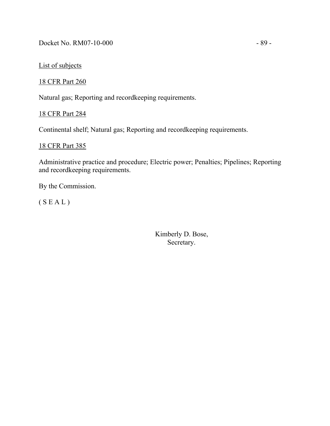Docket No. RM07-10-000 - 89 -

List of subjects

18 CFR Part 260

Natural gas; Reporting and recordkeeping requirements.

18 CFR Part 284

Continental shelf; Natural gas; Reporting and recordkeeping requirements.

# 18 CFR Part 385

Administrative practice and procedure; Electric power; Penalties; Pipelines; Reporting and recordkeeping requirements.

By the Commission.

( S E A L )

Kimberly D. Bose, Secretary.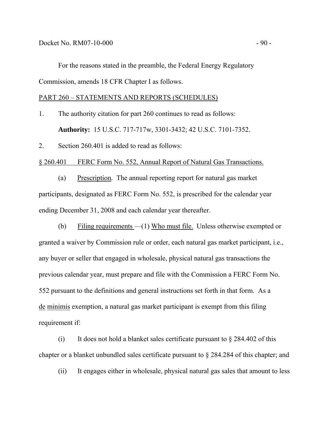For the reasons stated in the preamble, the Federal Energy Regulatory Commission, amends 18 CFR Chapter I as follows.

## PART 260 – STATEMENTS AND REPORTS (SCHEDULES)

1. The authority citation for part 260 continues to read as follows: **Authority:** 15 U.S.C. 717-717w, 3301-3432; 42 U.S.C. 7101-7352.

2. Section 260.401 is added to read as follows:

## § 260.401 FERC Form No. 552, Annual Report of Natural Gas Transactions.

(a) Prescription*.* The annual reporting report for natural gas market participants, designated as FERC Form No. 552, is prescribed for the calendar year ending December 31, 2008 and each calendar year thereafter.

(b) Filing requirements —(1) Who must file.Unless otherwise exempted or granted a waiver by Commission rule or order, each natural gas market participant, i.e., any buyer or seller that engaged in wholesale, physical natural gas transactions the previous calendar year, must prepare and file with the Commission a FERC Form No. 552 pursuant to the definitions and general instructions set forth in that form. As a de minimis exemption, a natural gas market participant is exempt from this filing requirement if:

(i) It does not hold a blanket sales certificate pursuant to  $\S 284.402$  of this chapter or a blanket unbundled sales certificate pursuant to § 284.284 of this chapter; and

(ii) It engages either in wholesale, physical natural gas sales that amount to less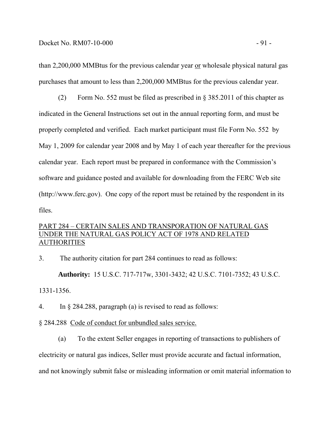than 2,200,000 MMBtus for the previous calendar year or wholesale physical natural gas purchases that amount to less than 2,200,000 MMBtus for the previous calendar year.

(2) Form No. 552 must be filed as prescribed in § 385.2011 of this chapter as indicated in the General Instructions set out in the annual reporting form, and must be properly completed and verified. Each market participant must file Form No. 552 by May 1, 2009 for calendar year 2008 and by May 1 of each year thereafter for the previous calendar year. Each report must be prepared in conformance with the Commission's software and guidance posted and available for downloading from the FERC Web site (http://www.ferc.gov). One copy of the report must be retained by the respondent in its files.

# PART 284 – CERTAIN SALES AND TRANSPORATION OF NATURAL GAS UNDER THE NATURAL GAS POLICY ACT OF 1978 AND RELATED **AUTHORITIES**

3. The authority citation for part 284 continues to read as follows:

**Authority:** 15 U.S.C. 717-717w, 3301-3432; 42 U.S.C. 7101-7352; 43 U.S.C. 1331-1356.

4. In § 284.288, paragraph (a) is revised to read as follows:

§ 284.288 Code of conduct for unbundled sales service.

(a) To the extent Seller engages in reporting of transactions to publishers of electricity or natural gas indices, Seller must provide accurate and factual information,

and not knowingly submit false or misleading information or omit material information to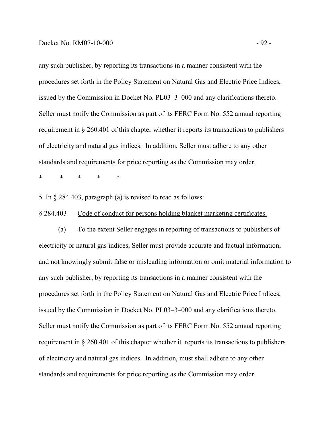any such publisher, by reporting its transactions in a manner consistent with the procedures set forth in the Policy Statement on Natural Gas and Electric Price Indices, issued by the Commission in Docket No. PL03–3–000 and any clarifications thereto. Seller must notify the Commission as part of its FERC Form No. 552 annual reporting requirement in § 260.401 of this chapter whether it reports its transactions to publishers of electricity and natural gas indices. In addition, Seller must adhere to any other standards and requirements for price reporting as the Commission may order.

\* \* \* \* \*

5. In § 284.403, paragraph (a) is revised to read as follows:

§ 284.403 Code of conduct for persons holding blanket marketing certificates.

(a) To the extent Seller engages in reporting of transactions to publishers of electricity or natural gas indices, Seller must provide accurate and factual information, and not knowingly submit false or misleading information or omit material information to any such publisher, by reporting its transactions in a manner consistent with the procedures set forth in the Policy Statement on Natural Gas and Electric Price Indices, issued by the Commission in Docket No. PL03–3–000 and any clarifications thereto. Seller must notify the Commission as part of its FERC Form No. 552 annual reporting requirement in § 260.401 of this chapter whether it reports its transactions to publishers of electricity and natural gas indices. In addition, must shall adhere to any other standards and requirements for price reporting as the Commission may order.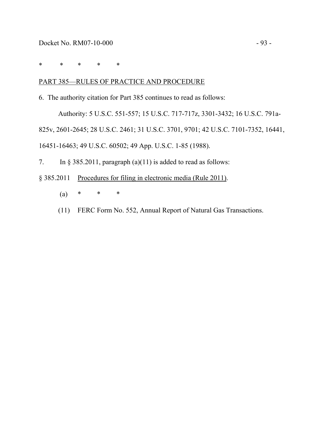\* \* \* \* \*

# PART 385—RULES OF PRACTICE AND PROCEDURE

6. The authority citation for Part 385 continues to read as follows:

Authority: 5 U.S.C. 551-557; 15 U.S.C. 717-717z, 3301-3432; 16 U.S.C. 791a-

825v, 2601-2645; 28 U.S.C. 2461; 31 U.S.C. 3701, 9701; 42 U.S.C. 7101-7352, 16441,

16451-16463; 49 U.S.C. 60502; 49 App. U.S.C. 1-85 (1988).

7. In § 385.2011, paragraph (a)(11) is added to read as follows:

- § 385.2011 Procedures for filing in electronic media (Rule 2011).
	- (a) \* \* \*
	- (11) FERC Form No. 552, Annual Report of Natural Gas Transactions.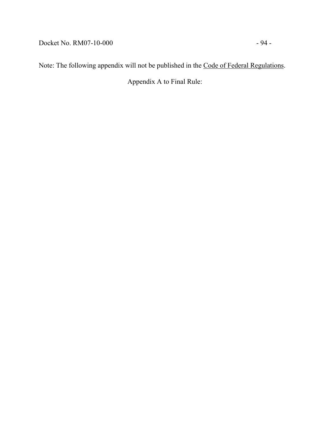Docket No. RM07-10-000 - 94 -

Note: The following appendix will not be published in the Code of Federal Regulations.

Appendix A to Final Rule: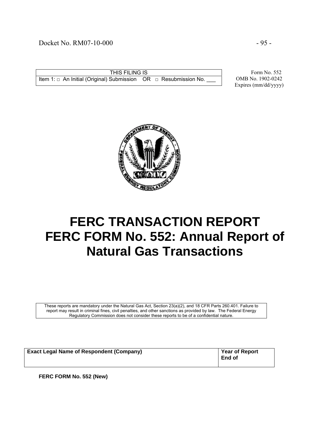# Docket No. RM07-10-000 - 95 -

THIS FILING IS Item 1:  $□$  An Initial (Original) Submission OR  $□$  Resubmission No.

 Form No. 552 OMB No. 1902-0242 Expires (mm/dd/yyyy)



# **FERC TRANSACTION REPORT FERC FORM No. 552: Annual Report of Natural Gas Transactions**

These reports are mandatory under the Natural Gas Act, Section 23(a)(2), and 18 CFR Parts 260.401. Failure to report may result in criminal fines, civil penalties, and other sanctions as provided by law. The Federal Energy Regulatory Commission does not consider these reports to be of a confidential nature.

| <b>Exact Legal Name of Respondent (Company)</b> | <b>Year of Report</b><br>End of |
|-------------------------------------------------|---------------------------------|
|-------------------------------------------------|---------------------------------|

**FERC FORM No. 552 (New)**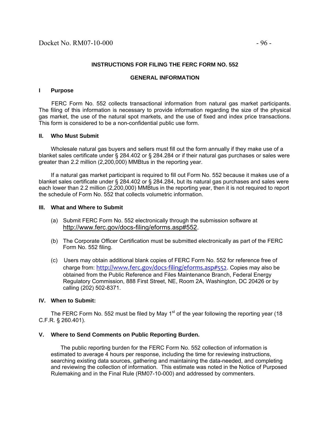## **INSTRUCTIONS FOR FILING THE FERC FORM NO. 552**

### **GENERAL INFORMATION**

### **I Purpose**

 FERC Form No. 552 collects transactional information from natural gas market participants. The filing of this information is necessary to provide information regarding the size of the physical gas market, the use of the natural spot markets, and the use of fixed and index price transactions. This form is considered to be a non-confidential public use form.

### **II. Who Must Submit**

 Wholesale natural gas buyers and sellers must fill out the form annually if they make use of a blanket sales certificate under § 284.402 or § 284.284 or if their natural gas purchases or sales were greater than 2.2 million (2,200,000) MMBtus in the reporting year.

 If a natural gas market participant is required to fill out Form No. 552 because it makes use of a blanket sales certificate under § 284.402 or § 284.284, but its natural gas purchases and sales were each lower than 2.2 million (2,200,000) MMBtus in the reporting year, then it is not required to report the schedule of Form No. 552 that collects volumetric information.

### **III. What and Where to Submit**

- (a) Submit FERC Form No. 552 electronically through the submission software at http://www.ferc.gov/docs-filing/eforms.asp#552.
- (b) The Corporate Officer Certification must be submitted electronically as part of the FERC Form No. 552 filing.
- (c) Users may obtain additional blank copies of FERC Form No. 552 for reference free of charge from: http://www.ferc.gov/docs-filing/eforms.asp#552. Copies may also be obtained from the Public Reference and Files Maintenance Branch, Federal Energy Regulatory Commission, 888 First Street, NE, Room 2A, Washington, DC 20426 or by calling (202) 502-8371.

### **IV. When to Submit:**

The FERC Form No. 552 must be filed by May 1<sup>st</sup> of the year following the reporting year (18) C.F.R. § 260.401).

### **V. Where to Send Comments on Public Reporting Burden.**

 The public reporting burden for the FERC Form No. 552 collection of information is estimated to average 4 hours per response, including the time for reviewing instructions, searching existing data sources, gathering and maintaining the data-needed, and completing and reviewing the collection of information. This estimate was noted in the Notice of Purposed Rulemaking and in the Final Rule (RM07-10-000) and addressed by commenters.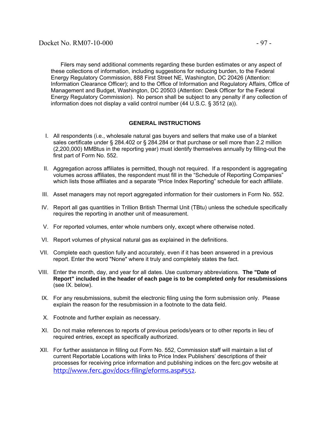Filers may send additional comments regarding these burden estimates or any aspect of these collections of information, including suggestions for reducing burden, to the Federal Energy Regulatory Commission, 888 First Street NE, Washington, DC 20426 (Attention: Information Clearance Officer); and to the Office of Information and Regulatory Affairs, Office of Management and Budget, Washington, DC 20503 (Attention: Desk Officer for the Federal Energy Regulatory Commission). No person shall be subject to any penalty if any collection of information does not display a valid control number (44 U.S.C. § 3512 (a)).

## **GENERAL INSTRUCTIONS**

- I. All respondents (i.e., wholesale natural gas buyers and sellers that make use of a blanket sales certificate under § 284.402 or § 284.284 or that purchase or sell more than 2.2 million (2,200,000) MMBtus in the reporting year) must identify themselves annually by filling-out the first part of Form No. 552.
- II. Aggregation across affiliates is permitted, though not required. If a respondent is aggregating volumes across affiliates, the respondent must fill in the "Schedule of Reporting Companies" which lists those affiliates and a separate "Price Index Reporting" schedule for each affiliate.
- III. Asset managers may not report aggregated information for their customers in Form No. 552.
- IV. Report all gas quantities in Trillion British Thermal Unit (TBtu) unless the schedule specifically requires the reporting in another unit of measurement.
- V. For reported volumes, enter whole numbers only, except where otherwise noted.
- VI. Report volumes of physical natural gas as explained in the definitions.
- VII. Complete each question fully and accurately, even if it has been answered in a previous report. Enter the word "None" where it truly and completely states the fact.
- VIII. Enter the month, day, and year for all dates. Use customary abbreviations. **The "Date of Report" included in the header of each page is to be completed only for resubmissions**  (see IX. below).
- IX. For any resubmissions, submit the electronic filing using the form submission only. Please explain the reason for the resubmission in a footnote to the data field.
- X. Footnote and further explain as necessary.
- XI. Do not make references to reports of previous periods/years or to other reports in lieu of required entries, except as specifically authorized.
- XII. For further assistance in filling out Form No. 552, Commission staff will maintain a list of current Reportable Locations with links to Price Index Publishers' descriptions of their processes for receiving price information and publishing indices on the ferc.gov website at http://www.ferc.gov/docs‐filing/eforms.asp#552.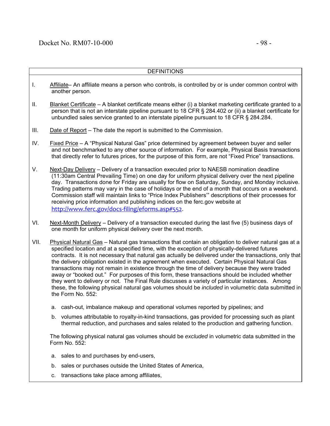|      | <b>DEFINITIONS</b>                                                                                                                                                                                                                                                                                                                                                                                                                                                                                               |
|------|------------------------------------------------------------------------------------------------------------------------------------------------------------------------------------------------------------------------------------------------------------------------------------------------------------------------------------------------------------------------------------------------------------------------------------------------------------------------------------------------------------------|
| I.   | Affiliate– An affiliate means a person who controls, is controlled by or is under common control with<br>another person.                                                                                                                                                                                                                                                                                                                                                                                         |
| Ш.   | Blanket Certificate – A blanket certificate means either (i) a blanket marketing certificate granted to a<br>person that is not an interstate pipeline pursuant to 18 CFR § 284.402 or (ii) a blanket certificate for<br>unbundled sales service granted to an interstate pipeline pursuant to 18 CFR § 284.284.                                                                                                                                                                                                 |
| III. | Date of Report – The date the report is submitted to the Commission.                                                                                                                                                                                                                                                                                                                                                                                                                                             |
| IV.  | Fixed Price – A "Physical Natural Gas" price determined by agreement between buyer and seller<br>and not benchmarked to any other source of information. For example, Physical Basis transactions<br>that directly refer to futures prices, for the purpose of this form, are not "Fixed Price" transactions.                                                                                                                                                                                                    |
| V.   | Next-Day Delivery – Delivery of a transaction executed prior to NAESB nomination deadline<br>(11:30am Central Prevailing Time) on one day for uniform physical delivery over the next pipeline<br>day. Transactions done for Friday are usually for flow on Saturday, Sunday, and Monday inclusive.<br>Trading patterns may vary in the case of holidays or the end of a month that occurs on a weekend.<br>Commission staff will maintain links to "Price Index Publishers" descriptions of their processes for |

VI. Next-Month Delivery – Delivery of a transaction executed during the last five (5) business days of one month for uniform physical delivery over the next month.

receiving price information and publishing indices on the ferc.gov website at

http://www.ferc.gov/docs‐filing/eforms.asp#552.

- VII. Physical Natural Gas Natural gas transactions that contain an obligation to deliver natural gas at a specified location and at a specified time, with the exception of physically-delivered futures contracts. It is not necessary that natural gas actually be delivered under the transactions, only that the delivery obligation existed in the agreement when executed. Certain Physical Natural Gas transactions may not remain in existence through the time of delivery because they were traded away or "booked out." For purposes of this form, these transactions should be included whether they went to delivery or not. The Final Rule discusses a variety of particular instances. Among these, the following physical natural gas volumes should be *included* in volumetric data submitted in the Form No. 552:
	- a. cash-out, imbalance makeup and operational volumes reported by pipelines; and
	- b. volumes attributable to royalty-in-kind transactions, gas provided for processing such as plant thermal reduction, and purchases and sales related to the production and gathering function.

The following physical natural gas volumes should be *excluded* in volumetric data submitted in the Form No. 552:

- a. sales to and purchases by end-users,
- b. sales or purchases outside the United States of America,
- c. transactions take place among affiliates,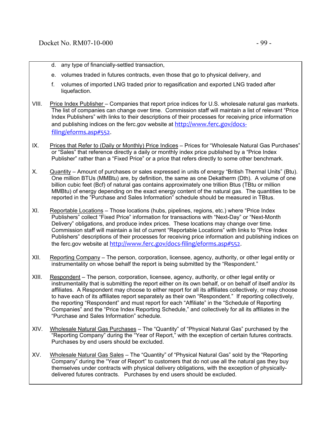- d. any type of financially-settled transaction,
- e. volumes traded in futures contracts, even those that go to physical delivery, and
- f. volumes of imported LNG traded prior to regasification and exported LNG traded after liquefaction.
- VIII. Price Index Publisher Companies that report price indices for U.S. wholesale natural gas markets. The list of companies can change over time. Commission staff will maintain a list of relevant "Price Index Publishers" with links to their descriptions of their processes for receiving price information and publishing indices on the ferc.gov website at http://www.ferc.gov/docsfiling/eforms.asp#552.
- IX. Prices that Refer to (Daily or Monthly) Price Indices Prices for "Wholesale Natural Gas Purchases" or "Sales" that reference directly a daily or monthly index price published by a "Price Index Publisher" rather than a "Fixed Price" or a price that refers directly to some other benchmark.
- X. Quantity Amount of purchases or sales expressed in units of energy "British Thermal Units" (Btu). One million BTUs (MMBtu) are, by definition, the same as one Dekatherm (Dth). A volume of one billion cubic feet (Bcf) of natural gas contains approximately one trillion Btus (TBtu or million MMBtu) of energy depending on the exact energy content of the natural gas. The quantities to be reported in the "Purchase and Sales Information" schedule should be measured in TBtus.
- XI. Reportable Locations Those locations (hubs, pipelines, regions, etc.) where "Price Index Publishers" collect "Fixed Price" information for transactions with "Next-Day" or "Next-Month Delivery" obligations, and produce index prices. These locations may change over time. Commission staff will maintain a list of current "Reportable Locations" with links to "Price Index Publishers" descriptions of their processes for receiving price information and publishing indices on the ferc.gov website at http://www.ferc.gov/docs‐filing/eforms.asp#552.
- XII. Reporting Company The person, corporation, licensee, agency, authority, or other legal entity or instrumentality on whose behalf the report is being submitted by the "Respondent."
- XIII. Respondent The person, corporation, licensee, agency, authority, or other legal entity or instrumentality that is submitting the report either on its own behalf, or on behalf of itself and/or its affiliates. A Respondent may choose to either report for all its affiliates collectively, or may choose to have each of its affiliates report separately as their own "Respondent." If reporting collectively, the reporting "Respondent" and must report for each "Affiliate" in the "Schedule of Reporting Companies" and the "Price Index Reporting Schedule," and collectively for all its affiliates in the "Purchase and Sales Information" schedule.
- XIV. Wholesale Natural Gas Purchases The "Quantity" of "Physical Natural Gas" purchased by the "Reporting Company" during the "Year of Report," with the exception of certain futures contracts. Purchases by end users should be excluded.
- XV. Wholesale Natural Gas Sales The "Quantity" of "Physical Natural Gas" sold by the "Reporting Company" during the "Year of Report" to customers that do not use all the natural gas they buy themselves under contracts with physical delivery obligations, with the exception of physicallydelivered futures contracts. Purchases by end users should be excluded.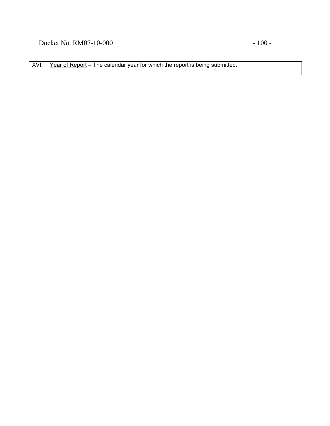XVI. Year of Report - The calendar year for which the report is being submitted.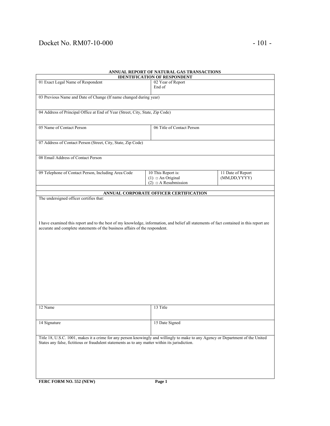# Docket No. RM07-10-000 - 101 -

| ANNUAL REPORT OF NATURAL GAS TRANSACTIONS<br><b>IDENTIFICATION OF RESPONDENT</b>                                                                                                                                                    |                                                         |                   |  |
|-------------------------------------------------------------------------------------------------------------------------------------------------------------------------------------------------------------------------------------|---------------------------------------------------------|-------------------|--|
| 01 Exact Legal Name of Respondent                                                                                                                                                                                                   |                                                         |                   |  |
|                                                                                                                                                                                                                                     | 02 Year of Report<br>End of                             |                   |  |
| 03 Previous Name and Date of Change (If name changed during year)                                                                                                                                                                   |                                                         |                   |  |
| 04 Address of Principal Office at End of Year (Street, City, State, Zip Code)                                                                                                                                                       |                                                         |                   |  |
|                                                                                                                                                                                                                                     |                                                         |                   |  |
| 05 Name of Contact Person                                                                                                                                                                                                           | 06 Title of Contact Person                              |                   |  |
| 07 Address of Contact Person (Street, City, State, Zip Code)                                                                                                                                                                        |                                                         |                   |  |
| 08 Email Address of Contact Person                                                                                                                                                                                                  |                                                         |                   |  |
| 09 Telephone of Contact Person, Including Area Code                                                                                                                                                                                 | 10 This Report is:                                      | 11 Date of Report |  |
|                                                                                                                                                                                                                                     | $(1)$ $\Box$ An Original<br>$(2)$ $\Box$ A Resubmission | (MM,DD,YYYY)      |  |
|                                                                                                                                                                                                                                     |                                                         |                   |  |
| The undersigned officer certifies that:                                                                                                                                                                                             | ANNUAL CORPORATE OFFICER CERTIFICATION                  |                   |  |
| accurate and complete statements of the business affairs of the respondent.                                                                                                                                                         |                                                         |                   |  |
| 12 Name                                                                                                                                                                                                                             | 13 Title                                                |                   |  |
| 14 Signature                                                                                                                                                                                                                        | 15 Date Signed                                          |                   |  |
| Title 18, U.S.C. 1001, makes it a crime for any person knowingly and willingly to make to any Agency or Department of the United<br>States any false, fictitious or fraudulent statements as to any matter within its jurisdiction. |                                                         |                   |  |
| FERC FORM NO. 552 (NEW)                                                                                                                                                                                                             | Page 1                                                  |                   |  |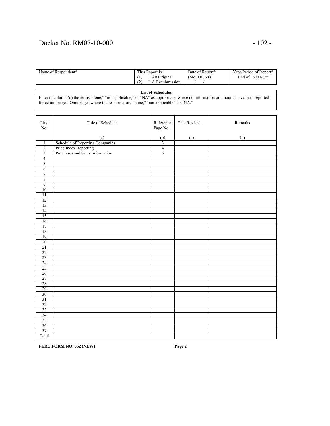# Docket No. RM07-10-000 - 102 -

| Name of Respondent* | This Report is: | Date of Report* | Year/Period of Report* |
|---------------------|-----------------|-----------------|------------------------|
|                     | An Original     | (Mo, Da, Yr)    | Year/Otr<br>End of     |
|                     | A Resubmission  |                 |                        |

### **List of Schedules**

Enter in column (d) the terms "none," "not applicable," or "NA" as appropriate, where no information or amounts have been reported for certain pages. Omit pages where the responses are "none," "not applicable," or "NA."

| Line<br>No.             | Title of Schedule                                        | Reference<br>Page No. | Date Revised | Remarks |
|-------------------------|----------------------------------------------------------|-----------------------|--------------|---------|
|                         |                                                          |                       |              |         |
|                         | (a)                                                      | $\frac{(b)}{3}$       | (c)          | (d)     |
| $\mathbf{1}$            | Schedule of Reporting Companies                          |                       |              |         |
| $\overline{2}$          | Price Index Reporting<br>Purchases and Sales Information | $\overline{4}$        |              |         |
| $\overline{\mathbf{3}}$ |                                                          | 5                     |              |         |
| $\overline{4}$          |                                                          |                       |              |         |
| 5                       |                                                          |                       |              |         |
| $\sqrt{6}$              |                                                          |                       |              |         |
| $\overline{7}$          |                                                          |                       |              |         |
| $\,8\,$                 |                                                          |                       |              |         |
| 9                       |                                                          |                       |              |         |
| 10                      |                                                          |                       |              |         |
| $\overline{11}$         |                                                          |                       |              |         |
| $\overline{12}$         |                                                          |                       |              |         |
| 13                      |                                                          |                       |              |         |
| 14                      |                                                          |                       |              |         |
| 15                      |                                                          |                       |              |         |
| 16                      |                                                          |                       |              |         |
| 17                      |                                                          |                       |              |         |
| 18                      |                                                          |                       |              |         |
| 19                      |                                                          |                       |              |         |
| 20                      |                                                          |                       |              |         |
| 21                      |                                                          |                       |              |         |
| 22                      |                                                          |                       |              |         |
| 23                      |                                                          |                       |              |         |
| 24                      |                                                          |                       |              |         |
| 25                      |                                                          |                       |              |         |
| 26                      |                                                          |                       |              |         |
| 27                      |                                                          |                       |              |         |
| 28                      |                                                          |                       |              |         |
| 29                      |                                                          |                       |              |         |
| 30                      |                                                          |                       |              |         |
| 31                      |                                                          |                       |              |         |
| 32                      |                                                          |                       |              |         |
|                         |                                                          |                       |              |         |
| 33                      |                                                          |                       |              |         |
| 34                      |                                                          |                       |              |         |
| 35                      |                                                          |                       |              |         |
| 36                      |                                                          |                       |              |         |
| 37                      |                                                          |                       |              |         |
| Total                   |                                                          |                       |              |         |

**FERC FORM NO. 552 (NEW) Page 2**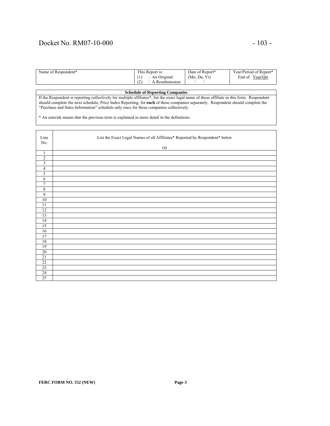# Docket No. RM07-10-000 - 103 -

| Name of Respondent* | This Report is:       | Date of Report* | Year/Period of Report* |
|---------------------|-----------------------|-----------------|------------------------|
|                     | An Original           | (Mo, Da, Yr)    | Year/Qtr<br>End of     |
|                     | (2)<br>A Resubmission |                 |                        |

### **Schedule of Reporting Companies**

If the Respondent is reporting collectively for multiple affiliates\*, list the exact legal name of those affiliate in this form. Respondent should complete the next schedule, Price Index Reporting, for **each** of these companies separately. Respondent should complete the "Purchase and Sales Information" schedule only once for these companies collectively.

\* An asterisk means that the previous term is explained in more detail in the definitions.

| Line                    | List the Exact Legal Names of all Affiliates* Reported by Respondent* below |
|-------------------------|-----------------------------------------------------------------------------|
| No.                     |                                                                             |
|                         | (a)                                                                         |
| $\mathbf{1}$            |                                                                             |
| $\boldsymbol{2}$        |                                                                             |
| $\overline{\mathbf{3}}$ |                                                                             |
| $\overline{4}$          |                                                                             |
| 5                       |                                                                             |
| 6                       |                                                                             |
| $\overline{7}$          |                                                                             |
| 8                       |                                                                             |
| 9                       |                                                                             |
| $10\,$                  |                                                                             |
| 11                      |                                                                             |
| 12                      |                                                                             |
| 13                      |                                                                             |
| 14                      |                                                                             |
| 15                      |                                                                             |
| 16                      |                                                                             |
| 17                      |                                                                             |
| 18                      |                                                                             |
| 19                      |                                                                             |
| 20                      |                                                                             |
| 21                      |                                                                             |
| 22                      |                                                                             |
| 23                      |                                                                             |
| 24                      |                                                                             |
| 25                      |                                                                             |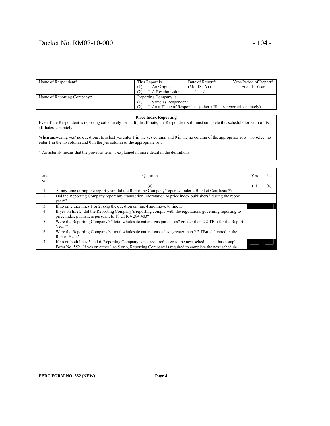# Docket No. RM07-10-000 - 104 -

| Name of Respondent*        | This Report is:                                                                 | Date of Report* | Year/Period of Report* |
|----------------------------|---------------------------------------------------------------------------------|-----------------|------------------------|
|                            | $\Box$ An Original<br>[1]                                                       | (Mo, Da, Yr)    | End of Year            |
|                            | $\Box$ A Resubmission<br>(2)                                                    |                 |                        |
| Name of Reporting Company* | Reporting Company is:                                                           |                 |                        |
|                            | $\Box$ Same as Respondent                                                       |                 |                        |
|                            | $\Box$ An affiliate of Respondent (other affiliates reported separately)<br>(2) |                 |                        |

#### **Price Index Reporting**

Even if the Respondent is reporting collectively for multiple affiliate, the Respondent still must complete this schedule for **each** of its affiliates separately.

When answering yes/ no questions, to select yes enter 1 in the yes column and 0 in the no column of the appropriate row. To select no enter 1 in the no column and 0 in the yes column of the appropriate row.

\* An asterisk means that the previous term is explained in more detail in the definitions.

| Line<br>No.    | Ouestion                                                                                                                                                                                                               | Yes | No  |
|----------------|------------------------------------------------------------------------------------------------------------------------------------------------------------------------------------------------------------------------|-----|-----|
|                | (a)                                                                                                                                                                                                                    | (b) | (c) |
|                | At any time during the report year, did the Reporting Company* operate under a Blanket Certificate*?                                                                                                                   |     |     |
| 2              | Did the Reporting Company report any transaction information to price index publishers <sup>*</sup> during the report<br>$vear*?$                                                                                      |     |     |
| 3              | If no on either lines 1 or 2, skip the question on line 4 and move to line 5.                                                                                                                                          |     |     |
| $\overline{4}$ | If yes on line 2, did the Reporting Company's reporting comply with the regulations governing reporting to<br>price index publishers pursuant to 18 CFR $\S$ 284.403?                                                  |     |     |
| 5              | Were the Reporting Company's* total wholesale natural gas purchases* greater than 2.2 TBtu for the Report<br>$Year*$ ?                                                                                                 |     |     |
| 6              | Were the Reporting Company's* total wholesale natural gas sales* greater than 2.2 TBtu delivered in the<br>Report Year?                                                                                                |     |     |
|                | If no on both lines 5 and 6, Reporting Company is not required to go to the next schedule and has completed<br>Form No. 552. If yes on either line 5 or 6, Reporting Company is required to complete the next schedule |     |     |